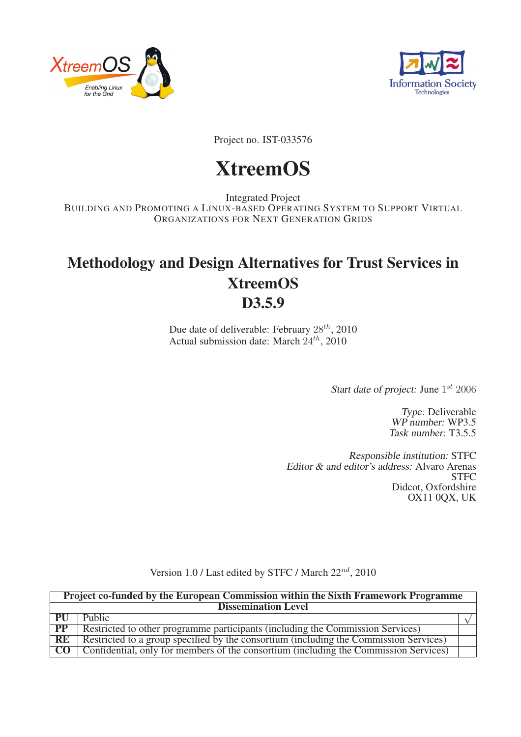



Project no. IST-033576

# XtreemOS

Integrated Project BUILDING AND PROMOTING A LINUX-BASED OPERATING SYSTEM TO SUPPORT VIRTUAL ORGANIZATIONS FOR NEXT GENERATION GRIDS

# Methodology and Design Alternatives for Trust Services in XtreemOS D<sub>3.5.9</sub>

Due date of deliverable: February  $28^{th}$ , 2010 Actual submission date: March  $24^{th}$ , 2010

Start date of project: June  $1^{st}$  2006

Type: Deliverable WP number: WP3.5 Task number: T3.5.5

Responsible institution: STFC Editor & and editor's address: Alvaro Arenas **STFC** Didcot, Oxfordshire OX11 0QX, UK

|  |  | Version 1.0 / Last edited by STFC / March $22^{nd}$ , 2010 |
|--|--|------------------------------------------------------------|
|--|--|------------------------------------------------------------|

|                  | <b>Project co-funded by the European Commission within the Sixth Framework Programme</b> |  |
|------------------|------------------------------------------------------------------------------------------|--|
|                  | <b>Dissemination Level</b>                                                               |  |
| PU               | Public                                                                                   |  |
| <b>PP</b>        | Restricted to other programme participants (including the Commission Services)           |  |
| RE               | Restricted to a group specified by the consortium (including the Commission Services)    |  |
| $\overline{C}$ O | Confidential, only for members of the consortium (including the Commission Services)     |  |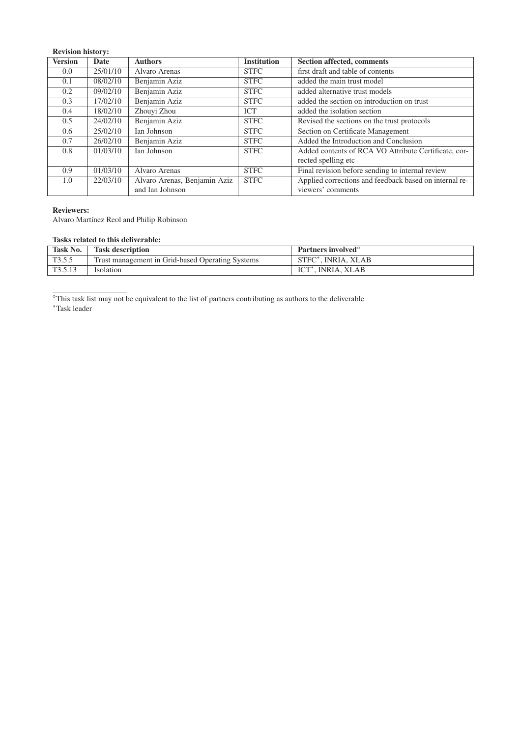| <b>Revision history:</b> |          |                              |                    |                                                        |
|--------------------------|----------|------------------------------|--------------------|--------------------------------------------------------|
| <b>Version</b>           | Date     | <b>Authors</b>               | <b>Institution</b> | Section affected, comments                             |
| 0.0                      | 25/01/10 | Alvaro Arenas                | <b>STFC</b>        | first draft and table of contents                      |
| 0.1                      | 08/02/10 | Benjamin Aziz                | <b>STFC</b>        | added the main trust model                             |
| 0.2                      | 09/02/10 | Benjamin Aziz                | <b>STFC</b>        | added alternative trust models                         |
| 0.3                      | 17/02/10 | Benjamin Aziz                | <b>STFC</b>        | added the section on introduction on trust             |
| $0.4^{\circ}$            | 18/02/10 | Zhouyi Zhou                  | <b>ICT</b>         | added the isolation section                            |
| 0.5                      | 24/02/10 | Benjamin Aziz                | <b>STFC</b>        | Revised the sections on the trust protocols            |
| 0.6                      | 25/02/10 | Ian Johnson                  | <b>STFC</b>        | Section on Certificate Management                      |
| 0.7                      | 26/02/10 | Benjamin Aziz                | <b>STFC</b>        | Added the Introduction and Conclusion                  |
| 0.8                      | 01/03/10 | Ian Johnson                  | <b>STFC</b>        | Added contents of RCA VO Attribute Certificate, cor-   |
|                          |          |                              |                    | rected spelling etc.                                   |
| 0.9 <sup>°</sup>         | 01/03/10 | Alvaro Arenas                | <b>STFC</b>        | Final revision before sending to internal review       |
| 1.0                      | 22/03/10 | Alvaro Arenas, Benjamin Aziz | <b>STFC</b>        | Applied corrections and feedback based on internal re- |
|                          |          | and Ian Johnson              |                    | viewers' comments                                      |

#### Reviewers:

Alvaro Martínez Reol and Philip Robinson

### Tasks related to this deliverable:

| Task No.            | <b>Task description</b>                          | <b>Partners involved</b> |
|---------------------|--------------------------------------------------|--------------------------|
| T355<br>10.0.J      | Trust management in Grid-based Operating Systems | STFC*, INRIA, XLAB       |
| T <sub>3.5.13</sub> | Isolation                                        | <b>INRIA, XLAB</b>       |

◦This task list may not be equivalent to the list of partners contributing as authors to the deliverable <sup>∗</sup>Task leader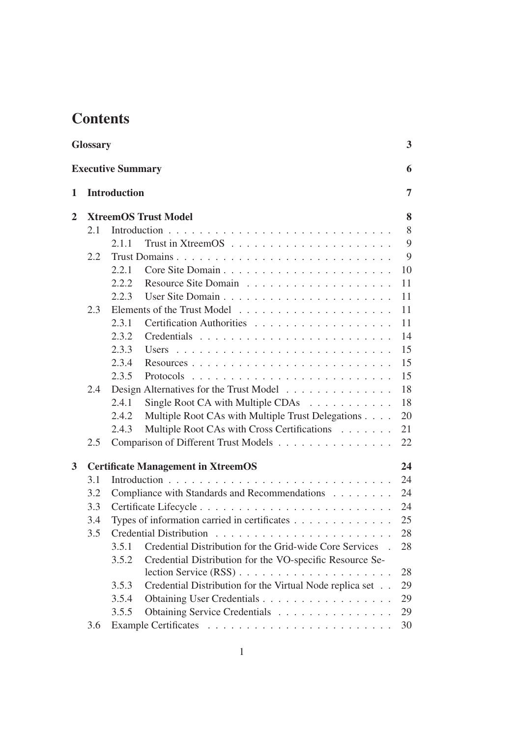# **Contents**

|                | <b>Glossary</b> |                                              |                                                           | 3  |  |  |  |  |  |  |  |  |  |
|----------------|-----------------|----------------------------------------------|-----------------------------------------------------------|----|--|--|--|--|--|--|--|--|--|
|                |                 | <b>Executive Summary</b>                     |                                                           | 6  |  |  |  |  |  |  |  |  |  |
| 1              |                 | <b>Introduction</b>                          |                                                           | 7  |  |  |  |  |  |  |  |  |  |
| $\overline{2}$ |                 |                                              | <b>XtreemOS Trust Model</b>                               | 8  |  |  |  |  |  |  |  |  |  |
|                | 2.1             |                                              |                                                           | 8  |  |  |  |  |  |  |  |  |  |
|                |                 | 2.1.1                                        |                                                           | 9  |  |  |  |  |  |  |  |  |  |
|                | 2.2             |                                              |                                                           | 9  |  |  |  |  |  |  |  |  |  |
|                |                 | 2.2.1                                        |                                                           | 10 |  |  |  |  |  |  |  |  |  |
|                |                 | 2.2.2                                        |                                                           | 11 |  |  |  |  |  |  |  |  |  |
|                |                 | 2.2.3                                        |                                                           | 11 |  |  |  |  |  |  |  |  |  |
|                | 2.3             |                                              |                                                           | 11 |  |  |  |  |  |  |  |  |  |
|                |                 | 2.3.1                                        | Certification Authorities                                 | 11 |  |  |  |  |  |  |  |  |  |
|                |                 | 2.3.2                                        |                                                           | 14 |  |  |  |  |  |  |  |  |  |
|                |                 | 2.3.3                                        |                                                           | 15 |  |  |  |  |  |  |  |  |  |
|                |                 | 2.3.4                                        |                                                           | 15 |  |  |  |  |  |  |  |  |  |
|                |                 | 2.3.5                                        |                                                           | 15 |  |  |  |  |  |  |  |  |  |
|                | 2.4             |                                              | Design Alternatives for the Trust Model                   | 18 |  |  |  |  |  |  |  |  |  |
|                |                 | 2.4.1                                        | Single Root CA with Multiple CDAs                         | 18 |  |  |  |  |  |  |  |  |  |
|                |                 | 2.4.2                                        | Multiple Root CAs with Multiple Trust Delegations         | 20 |  |  |  |  |  |  |  |  |  |
|                |                 | 2.4.3                                        | Multiple Root CAs with Cross Certifications               | 21 |  |  |  |  |  |  |  |  |  |
|                | 2.5             |                                              | Comparison of Different Trust Models                      | 22 |  |  |  |  |  |  |  |  |  |
| 3              |                 |                                              | <b>Certificate Management in XtreemOS</b>                 | 24 |  |  |  |  |  |  |  |  |  |
|                | 3.1             |                                              |                                                           | 24 |  |  |  |  |  |  |  |  |  |
|                | 3.2             |                                              | Compliance with Standards and Recommendations             | 24 |  |  |  |  |  |  |  |  |  |
|                | 3.3             |                                              |                                                           |    |  |  |  |  |  |  |  |  |  |
|                | 3.4             | Types of information carried in certificates |                                                           |    |  |  |  |  |  |  |  |  |  |
|                | 3.5             |                                              |                                                           | 28 |  |  |  |  |  |  |  |  |  |
|                |                 | 3.5.1                                        | Credential Distribution for the Grid-wide Core Services . | 28 |  |  |  |  |  |  |  |  |  |
|                |                 | 3.5.2                                        | Credential Distribution for the VO-specific Resource Se-  |    |  |  |  |  |  |  |  |  |  |
|                |                 |                                              |                                                           | 28 |  |  |  |  |  |  |  |  |  |
|                |                 | 3.5.3                                        | Credential Distribution for the Virtual Node replica set  | 29 |  |  |  |  |  |  |  |  |  |
|                |                 | 3.5.4                                        | Obtaining User Credentials                                | 29 |  |  |  |  |  |  |  |  |  |
|                |                 | 3.5.5                                        | Obtaining Service Credentials                             | 29 |  |  |  |  |  |  |  |  |  |
|                | 3.6             |                                              |                                                           | 30 |  |  |  |  |  |  |  |  |  |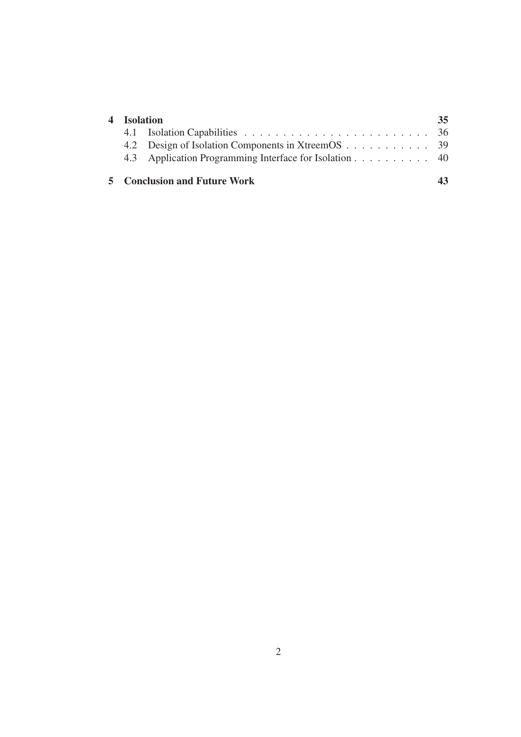| 4 Isolation |                                                        | 35. |
|-------------|--------------------------------------------------------|-----|
|             |                                                        |     |
|             | 4.2 Design of Isolation Components in XtreemOS 39      |     |
|             | 4.3 Application Programming Interface for Isolation 40 |     |
|             | <b>5</b> Conclusion and Future Work                    |     |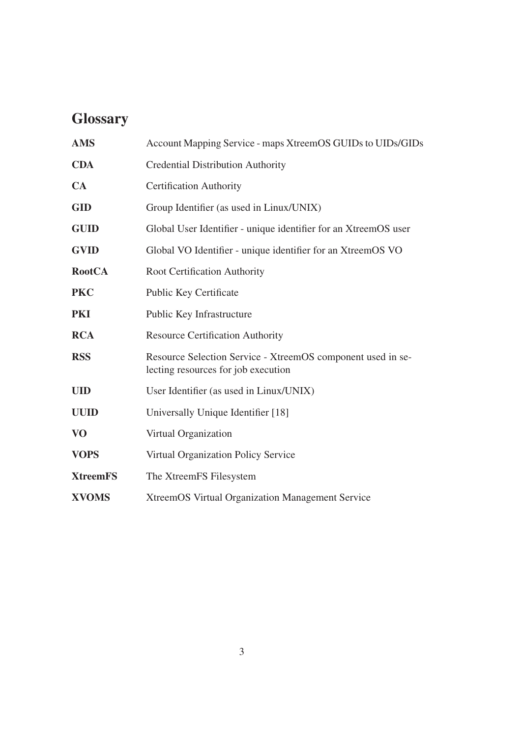# **Glossary**

| <b>AMS</b>      | Account Mapping Service - maps XtreemOS GUIDs to UIDs/GIDs                                         |
|-----------------|----------------------------------------------------------------------------------------------------|
| <b>CDA</b>      | <b>Credential Distribution Authority</b>                                                           |
| CA              | <b>Certification Authority</b>                                                                     |
| <b>GID</b>      | Group Identifier (as used in Linux/UNIX)                                                           |
| <b>GUID</b>     | Global User Identifier - unique identifier for an XtreemOS user                                    |
| <b>GVID</b>     | Global VO Identifier - unique identifier for an XtreemOS VO                                        |
| <b>RootCA</b>   | Root Certification Authority                                                                       |
| <b>PKC</b>      | Public Key Certificate                                                                             |
| <b>PKI</b>      | Public Key Infrastructure                                                                          |
| <b>RCA</b>      | <b>Resource Certification Authority</b>                                                            |
| <b>RSS</b>      | Resource Selection Service - XtreemOS component used in se-<br>lecting resources for job execution |
| <b>UID</b>      | User Identifier (as used in Linux/UNIX)                                                            |
| <b>UUID</b>     | Universally Unique Identifier [18]                                                                 |
| <b>VO</b>       | Virtual Organization                                                                               |
| <b>VOPS</b>     | <b>Virtual Organization Policy Service</b>                                                         |
| <b>XtreemFS</b> | The XtreemFS Filesystem                                                                            |
| <b>XVOMS</b>    | <b>XtreemOS Virtual Organization Management Service</b>                                            |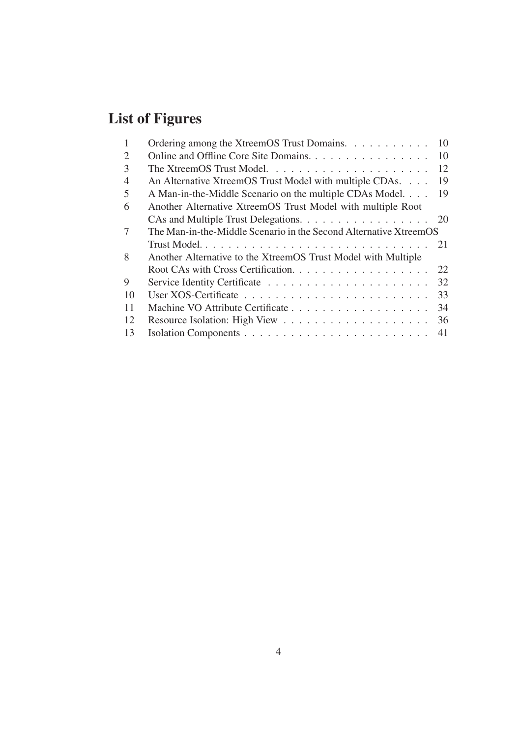# List of Figures

| 1                           | Ordering among the XtreemOS Trust Domains.                        | 10 |
|-----------------------------|-------------------------------------------------------------------|----|
| $\mathcal{D}_{\mathcal{A}}$ | Online and Offline Core Site Domains.                             | 10 |
| 3                           |                                                                   | 12 |
| $\overline{4}$              | An Alternative XtreemOS Trust Model with multiple CDAs.           | 19 |
| 5                           | A Man-in-the-Middle Scenario on the multiple CDAs Model.          | 19 |
| 6                           | Another Alternative XtreemOS Trust Model with multiple Root       |    |
|                             | CAs and Multiple Trust Delegations. 20                            |    |
| 7                           | The Man-in-the-Middle Scenario in the Second Alternative XtreemOS |    |
|                             |                                                                   |    |
| 8                           | Another Alternative to the XtreemOS Trust Model with Multiple     |    |
|                             | Root CAs with Cross Certification.                                | 22 |
| 9                           |                                                                   | 32 |
| 10                          |                                                                   | 33 |
| 11                          |                                                                   | 34 |
| 12                          |                                                                   | 36 |
| 13                          |                                                                   |    |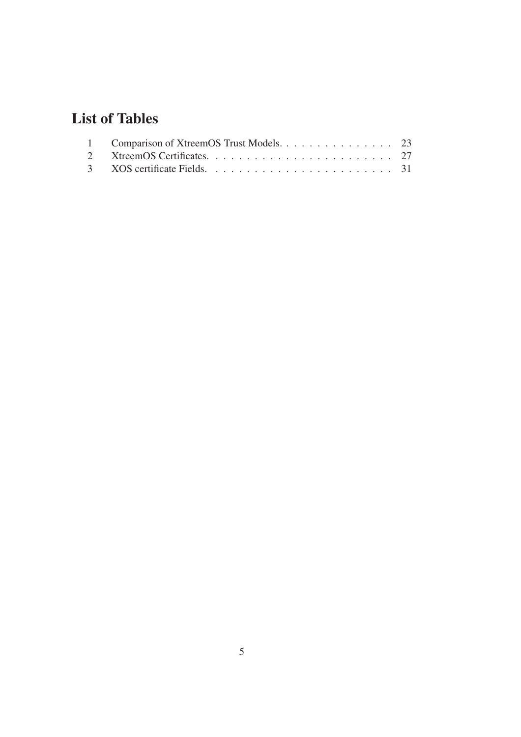# List of Tables

| 1 Comparison of XtreemOS Trust Models. 23 |  |
|-------------------------------------------|--|
|                                           |  |
|                                           |  |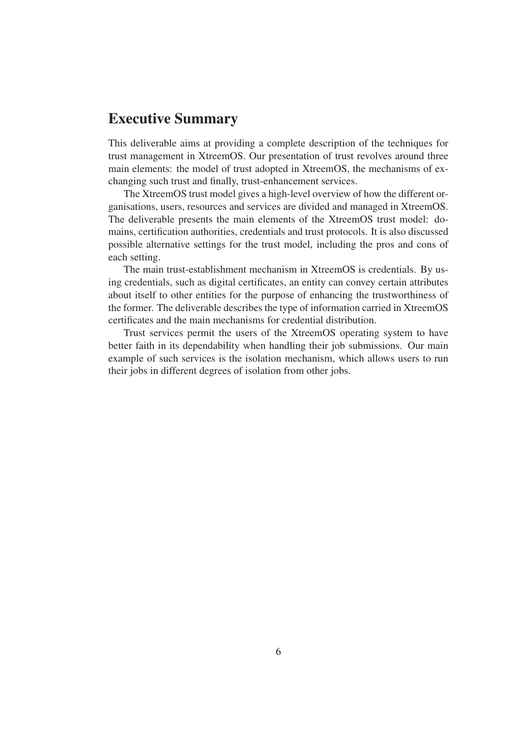# Executive Summary

This deliverable aims at providing a complete description of the techniques for trust management in XtreemOS. Our presentation of trust revolves around three main elements: the model of trust adopted in XtreemOS, the mechanisms of exchanging such trust and finally, trust-enhancement services.

The XtreemOS trust model gives a high-level overview of how the different organisations, users, resources and services are divided and managed in XtreemOS. The deliverable presents the main elements of the XtreemOS trust model: domains, certification authorities, credentials and trust protocols. It is also discussed possible alternative settings for the trust model, including the pros and cons of each setting.

The main trust-establishment mechanism in XtreemOS is credentials. By using credentials, such as digital certificates, an entity can convey certain attributes about itself to other entities for the purpose of enhancing the trustworthiness of the former. The deliverable describes the type of information carried in XtreemOS certificates and the main mechanisms for credential distribution.

Trust services permit the users of the XtreemOS operating system to have better faith in its dependability when handling their job submissions. Our main example of such services is the isolation mechanism, which allows users to run their jobs in different degrees of isolation from other jobs.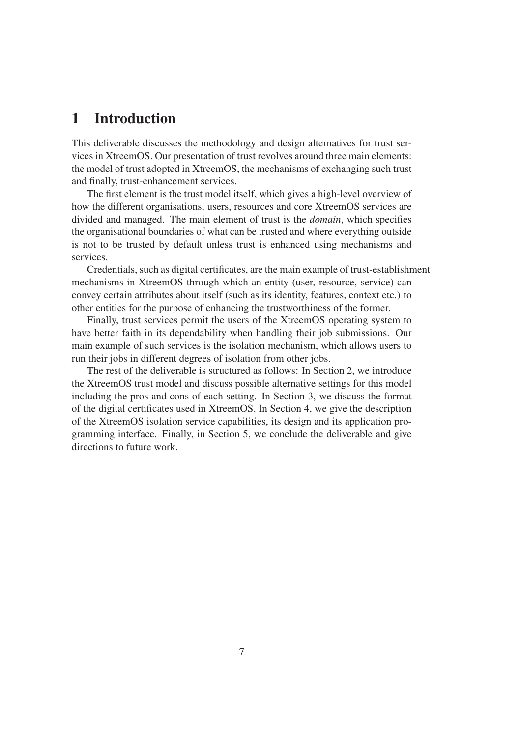# 1 Introduction

This deliverable discusses the methodology and design alternatives for trust services in XtreemOS. Our presentation of trust revolves around three main elements: the model of trust adopted in XtreemOS, the mechanisms of exchanging such trust and finally, trust-enhancement services.

The first element is the trust model itself, which gives a high-level overview of how the different organisations, users, resources and core XtreemOS services are divided and managed. The main element of trust is the *domain*, which specifies the organisational boundaries of what can be trusted and where everything outside is not to be trusted by default unless trust is enhanced using mechanisms and services.

Credentials, such as digital certificates, are the main example of trust-establishment mechanisms in XtreemOS through which an entity (user, resource, service) can convey certain attributes about itself (such as its identity, features, context etc.) to other entities for the purpose of enhancing the trustworthiness of the former.

Finally, trust services permit the users of the XtreemOS operating system to have better faith in its dependability when handling their job submissions. Our main example of such services is the isolation mechanism, which allows users to run their jobs in different degrees of isolation from other jobs.

The rest of the deliverable is structured as follows: In Section 2, we introduce the XtreemOS trust model and discuss possible alternative settings for this model including the pros and cons of each setting. In Section 3, we discuss the format of the digital certificates used in XtreemOS. In Section 4, we give the description of the XtreemOS isolation service capabilities, its design and its application programming interface. Finally, in Section 5, we conclude the deliverable and give directions to future work.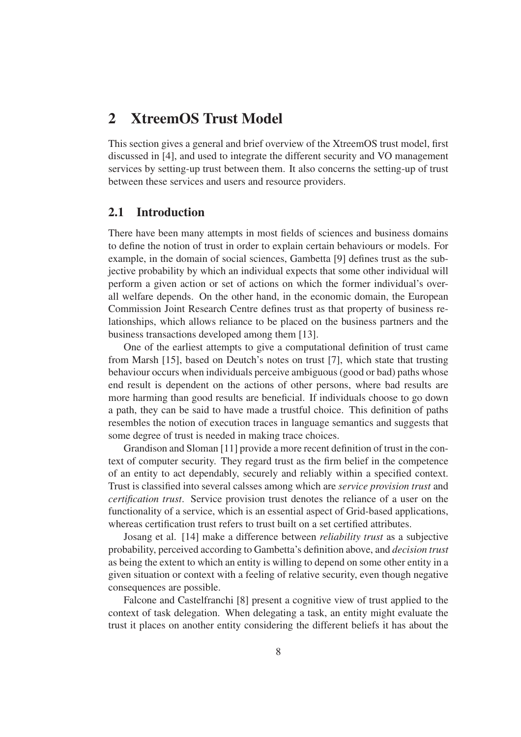# 2 XtreemOS Trust Model

This section gives a general and brief overview of the XtreemOS trust model, first discussed in [4], and used to integrate the different security and VO management services by setting-up trust between them. It also concerns the setting-up of trust between these services and users and resource providers.

# 2.1 Introduction

There have been many attempts in most fields of sciences and business domains to define the notion of trust in order to explain certain behaviours or models. For example, in the domain of social sciences, Gambetta [9] defines trust as the subjective probability by which an individual expects that some other individual will perform a given action or set of actions on which the former individual's overall welfare depends. On the other hand, in the economic domain, the European Commission Joint Research Centre defines trust as that property of business relationships, which allows reliance to be placed on the business partners and the business transactions developed among them [13].

One of the earliest attempts to give a computational definition of trust came from Marsh [15], based on Deutch's notes on trust [7], which state that trusting behaviour occurs when individuals perceive ambiguous (good or bad) paths whose end result is dependent on the actions of other persons, where bad results are more harming than good results are beneficial. If individuals choose to go down a path, they can be said to have made a trustful choice. This definition of paths resembles the notion of execution traces in language semantics and suggests that some degree of trust is needed in making trace choices.

Grandison and Sloman [11] provide a more recent definition of trust in the context of computer security. They regard trust as the firm belief in the competence of an entity to act dependably, securely and reliably within a specified context. Trust is classified into several calsses among which are *service provision trust* and *certification trust*. Service provision trust denotes the reliance of a user on the functionality of a service, which is an essential aspect of Grid-based applications, whereas certification trust refers to trust built on a set certified attributes.

Josang et al. [14] make a difference between *reliability trust* as a subjective probability, perceived according to Gambetta's definition above, and *decision trust* as being the extent to which an entity is willing to depend on some other entity in a given situation or context with a feeling of relative security, even though negative consequences are possible.

Falcone and Castelfranchi [8] present a cognitive view of trust applied to the context of task delegation. When delegating a task, an entity might evaluate the trust it places on another entity considering the different beliefs it has about the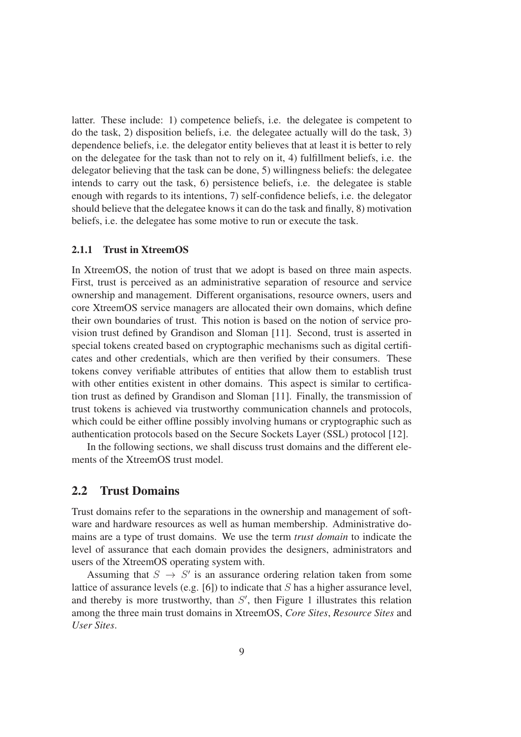latter. These include: 1) competence beliefs, i.e. the delegatee is competent to do the task, 2) disposition beliefs, i.e. the delegatee actually will do the task, 3) dependence beliefs, i.e. the delegator entity believes that at least it is better to rely on the delegatee for the task than not to rely on it, 4) fulfillment beliefs, i.e. the delegator believing that the task can be done, 5) willingness beliefs: the delegatee intends to carry out the task, 6) persistence beliefs, i.e. the delegatee is stable enough with regards to its intentions, 7) self-confidence beliefs, i.e. the delegator should believe that the delegatee knows it can do the task and finally, 8) motivation beliefs, i.e. the delegatee has some motive to run or execute the task.

#### 2.1.1 Trust in XtreemOS

In XtreemOS, the notion of trust that we adopt is based on three main aspects. First, trust is perceived as an administrative separation of resource and service ownership and management. Different organisations, resource owners, users and core XtreemOS service managers are allocated their own domains, which define their own boundaries of trust. This notion is based on the notion of service provision trust defined by Grandison and Sloman [11]. Second, trust is asserted in special tokens created based on cryptographic mechanisms such as digital certificates and other credentials, which are then verified by their consumers. These tokens convey verifiable attributes of entities that allow them to establish trust with other entities existent in other domains. This aspect is similar to certification trust as defined by Grandison and Sloman [11]. Finally, the transmission of trust tokens is achieved via trustworthy communication channels and protocols, which could be either offline possibly involving humans or cryptographic such as authentication protocols based on the Secure Sockets Layer (SSL) protocol [12].

In the following sections, we shall discuss trust domains and the different elements of the XtreemOS trust model.

# 2.2 Trust Domains

Trust domains refer to the separations in the ownership and management of software and hardware resources as well as human membership. Administrative domains are a type of trust domains. We use the term *trust domain* to indicate the level of assurance that each domain provides the designers, administrators and users of the XtreemOS operating system with.

Assuming that  $S \rightarrow S'$  is an assurance ordering relation taken from some lattice of assurance levels (e.g. [6]) to indicate that S has a higher assurance level, and thereby is more trustworthy, than  $S'$ , then Figure 1 illustrates this relation among the three main trust domains in XtreemOS, *Core Sites*, *Resource Sites* and *User Sites*.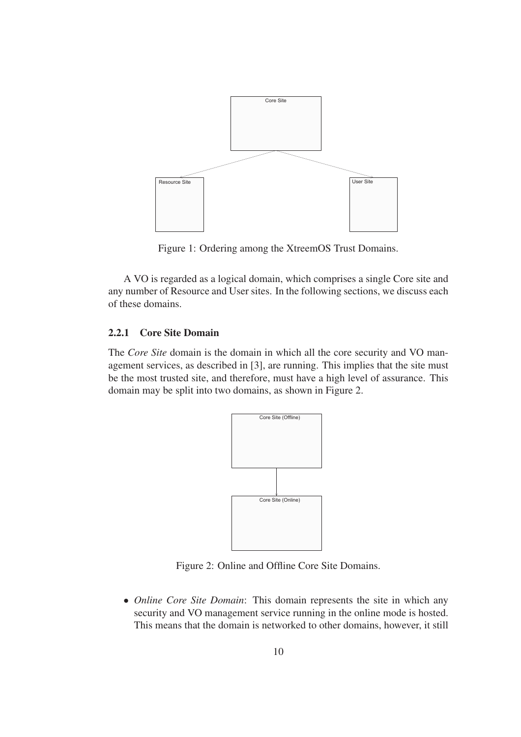

Figure 1: Ordering among the XtreemOS Trust Domains.

A VO is regarded as a logical domain, which comprises a single Core site and any number of Resource and User sites. In the following sections, we discuss each of these domains.

### 2.2.1 Core Site Domain

The *Core Site* domain is the domain in which all the core security and VO management services, as described in [3], are running. This implies that the site must be the most trusted site, and therefore, must have a high level of assurance. This domain may be split into two domains, as shown in Figure 2.



Figure 2: Online and Offline Core Site Domains.

• *Online Core Site Domain*: This domain represents the site in which any security and VO management service running in the online mode is hosted. This means that the domain is networked to other domains, however, it still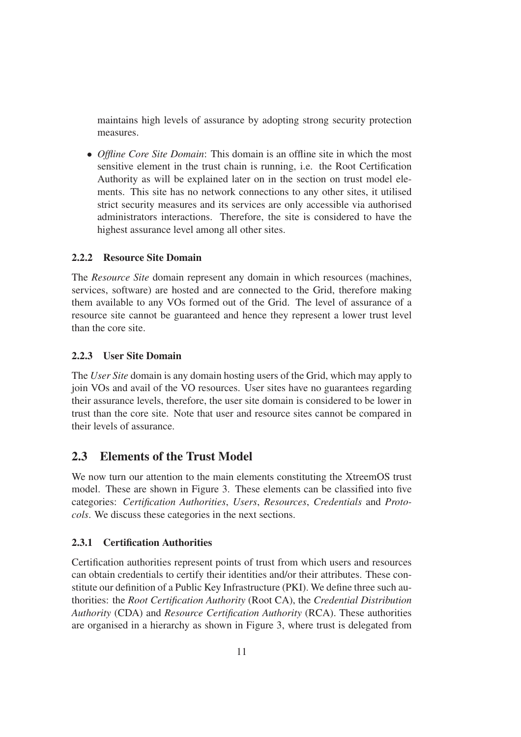maintains high levels of assurance by adopting strong security protection measures.

• *Offline Core Site Domain*: This domain is an offline site in which the most sensitive element in the trust chain is running, i.e. the Root Certification Authority as will be explained later on in the section on trust model elements. This site has no network connections to any other sites, it utilised strict security measures and its services are only accessible via authorised administrators interactions. Therefore, the site is considered to have the highest assurance level among all other sites.

# 2.2.2 Resource Site Domain

The *Resource Site* domain represent any domain in which resources (machines, services, software) are hosted and are connected to the Grid, therefore making them available to any VOs formed out of the Grid. The level of assurance of a resource site cannot be guaranteed and hence they represent a lower trust level than the core site.

# 2.2.3 User Site Domain

The *User Site* domain is any domain hosting users of the Grid, which may apply to join VOs and avail of the VO resources. User sites have no guarantees regarding their assurance levels, therefore, the user site domain is considered to be lower in trust than the core site. Note that user and resource sites cannot be compared in their levels of assurance.

# 2.3 Elements of the Trust Model

We now turn our attention to the main elements constituting the XtreemOS trust model. These are shown in Figure 3. These elements can be classified into five categories: *Certification Authorities*, *Users*, *Resources*, *Credentials* and *Protocols*. We discuss these categories in the next sections.

# 2.3.1 Certification Authorities

Certification authorities represent points of trust from which users and resources can obtain credentials to certify their identities and/or their attributes. These constitute our definition of a Public Key Infrastructure (PKI). We define three such authorities: the *Root Certification Authority* (Root CA), the *Credential Distribution Authority* (CDA) and *Resource Certification Authority* (RCA). These authorities are organised in a hierarchy as shown in Figure 3, where trust is delegated from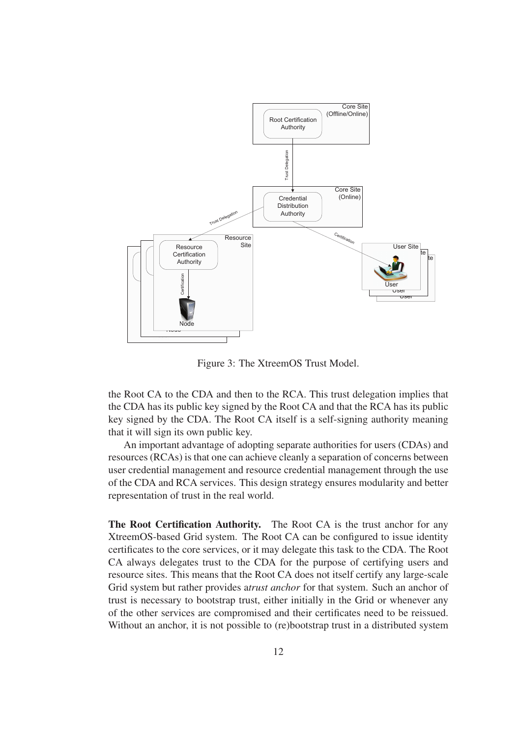

Figure 3: The XtreemOS Trust Model.

the Root CA to the CDA and then to the RCA. This trust delegation implies that the CDA has its public key signed by the Root CA and that the RCA has its public key signed by the CDA. The Root CA itself is a self-signing authority meaning that it will sign its own public key.

An important advantage of adopting separate authorities for users (CDAs) and resources (RCAs) is that one can achieve cleanly a separation of concerns between user credential management and resource credential management through the use of the CDA and RCA services. This design strategy ensures modularity and better representation of trust in the real world.

The Root Certification Authority. The Root CA is the trust anchor for any XtreemOS-based Grid system. The Root CA can be configured to issue identity certificates to the core services, or it may delegate this task to the CDA. The Root CA always delegates trust to the CDA for the purpose of certifying users and resource sites. This means that the Root CA does not itself certify any large-scale Grid system but rather provides a*trust anchor* for that system. Such an anchor of trust is necessary to bootstrap trust, either initially in the Grid or whenever any of the other services are compromised and their certificates need to be reissued. Without an anchor, it is not possible to (re)bootstrap trust in a distributed system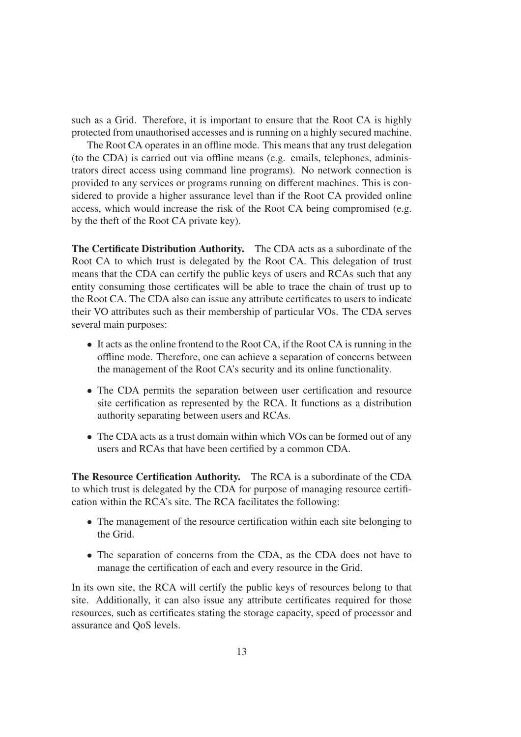such as a Grid. Therefore, it is important to ensure that the Root CA is highly protected from unauthorised accesses and is running on a highly secured machine.

The Root CA operates in an offline mode. This means that any trust delegation (to the CDA) is carried out via offline means (e.g. emails, telephones, administrators direct access using command line programs). No network connection is provided to any services or programs running on different machines. This is considered to provide a higher assurance level than if the Root CA provided online access, which would increase the risk of the Root CA being compromised (e.g. by the theft of the Root CA private key).

The Certificate Distribution Authority. The CDA acts as a subordinate of the Root CA to which trust is delegated by the Root CA. This delegation of trust means that the CDA can certify the public keys of users and RCAs such that any entity consuming those certificates will be able to trace the chain of trust up to the Root CA. The CDA also can issue any attribute certificates to users to indicate their VO attributes such as their membership of particular VOs. The CDA serves several main purposes:

- It acts as the online frontend to the Root CA, if the Root CA is running in the offline mode. Therefore, one can achieve a separation of concerns between the management of the Root CA's security and its online functionality.
- The CDA permits the separation between user certification and resource site certification as represented by the RCA. It functions as a distribution authority separating between users and RCAs.
- The CDA acts as a trust domain within which VOs can be formed out of any users and RCAs that have been certified by a common CDA.

The Resource Certification Authority. The RCA is a subordinate of the CDA to which trust is delegated by the CDA for purpose of managing resource certification within the RCA's site. The RCA facilitates the following:

- The management of the resource certification within each site belonging to the Grid.
- The separation of concerns from the CDA, as the CDA does not have to manage the certification of each and every resource in the Grid.

In its own site, the RCA will certify the public keys of resources belong to that site. Additionally, it can also issue any attribute certificates required for those resources, such as certificates stating the storage capacity, speed of processor and assurance and QoS levels.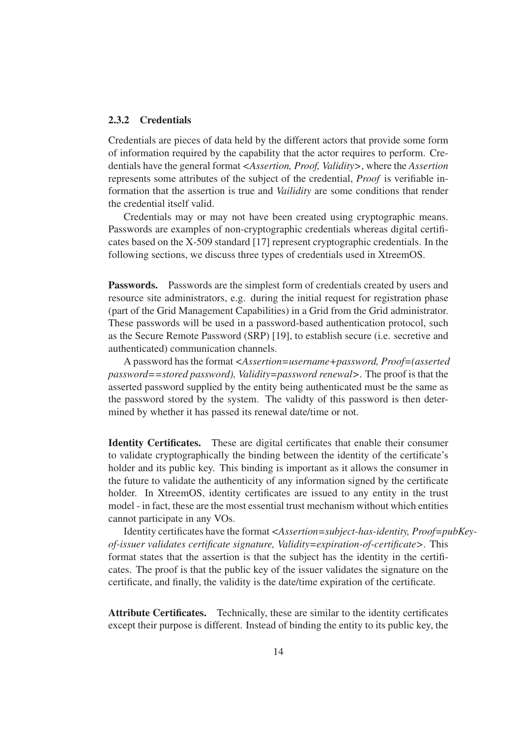#### 2.3.2 Credentials

Credentials are pieces of data held by the different actors that provide some form of information required by the capability that the actor requires to perform. Credentials have the general format *<Assertion, Proof, Validity>*, where the *Assertion* represents some attributes of the subject of the credential, *Proof* is verifiable information that the assertion is true and *Vailidity* are some conditions that render the credential itself valid.

Credentials may or may not have been created using cryptographic means. Passwords are examples of non-cryptographic credentials whereas digital certificates based on the X-509 standard [17] represent cryptographic credentials. In the following sections, we discuss three types of credentials used in XtreemOS.

Passwords. Passwords are the simplest form of credentials created by users and resource site administrators, e.g. during the initial request for registration phase (part of the Grid Management Capabilities) in a Grid from the Grid administrator. These passwords will be used in a password-based authentication protocol, such as the Secure Remote Password (SRP) [19], to establish secure (i.e. secretive and authenticated) communication channels.

A password has the format *<Assertion=username+password, Proof=(asserted password==stored password), Validity=password renewal>*. The proof is that the asserted password supplied by the entity being authenticated must be the same as the password stored by the system. The validty of this password is then determined by whether it has passed its renewal date/time or not.

Identity Certificates. These are digital certificates that enable their consumer to validate cryptographically the binding between the identity of the certificate's holder and its public key. This binding is important as it allows the consumer in the future to validate the authenticity of any information signed by the certificate holder. In XtreemOS, identity certificates are issued to any entity in the trust model - in fact, these are the most essential trust mechanism without which entities cannot participate in any VOs.

Identity certificates have the format *<Assertion=subject-has-identity, Proof=pubKeyof-issuer validates certificate signature, Validity=expiration-of-certificate>*. This format states that the assertion is that the subject has the identity in the certificates. The proof is that the public key of the issuer validates the signature on the certificate, and finally, the validity is the date/time expiration of the certificate.

Attribute Certificates. Technically, these are similar to the identity certificates except their purpose is different. Instead of binding the entity to its public key, the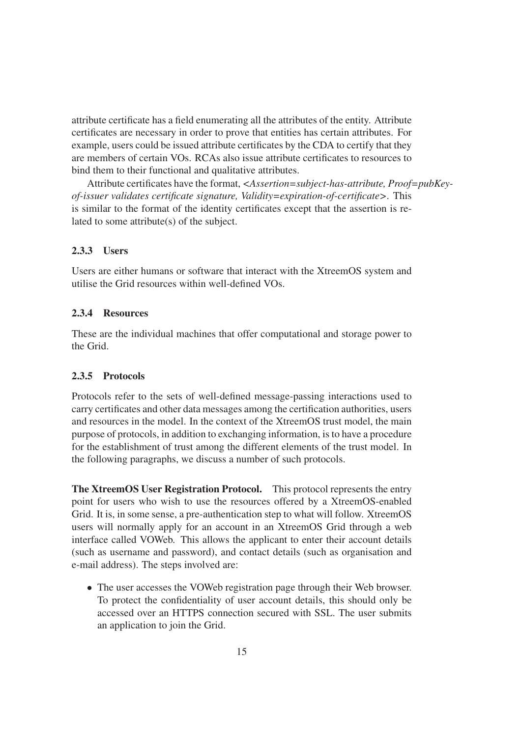attribute certificate has a field enumerating all the attributes of the entity. Attribute certificates are necessary in order to prove that entities has certain attributes. For example, users could be issued attribute certificates by the CDA to certify that they are members of certain VOs. RCAs also issue attribute certificates to resources to bind them to their functional and qualitative attributes.

Attribute certificates have the format, *<Assertion=subject-has-attribute, Proof=pubKeyof-issuer validates certificate signature, Validity=expiration-of-certificate>*. This is similar to the format of the identity certificates except that the assertion is related to some attribute(s) of the subject.

### 2.3.3 Users

Users are either humans or software that interact with the XtreemOS system and utilise the Grid resources within well-defined VOs.

## 2.3.4 Resources

These are the individual machines that offer computational and storage power to the Grid.

#### 2.3.5 Protocols

Protocols refer to the sets of well-defined message-passing interactions used to carry certificates and other data messages among the certification authorities, users and resources in the model. In the context of the XtreemOS trust model, the main purpose of protocols, in addition to exchanging information, is to have a procedure for the establishment of trust among the different elements of the trust model. In the following paragraphs, we discuss a number of such protocols.

The XtreemOS User Registration Protocol. This protocol represents the entry point for users who wish to use the resources offered by a XtreemOS-enabled Grid. It is, in some sense, a pre-authentication step to what will follow. XtreemOS users will normally apply for an account in an XtreemOS Grid through a web interface called VOWeb. This allows the applicant to enter their account details (such as username and password), and contact details (such as organisation and e-mail address). The steps involved are:

• The user accesses the VOWeb registration page through their Web browser. To protect the confidentiality of user account details, this should only be accessed over an HTTPS connection secured with SSL. The user submits an application to join the Grid.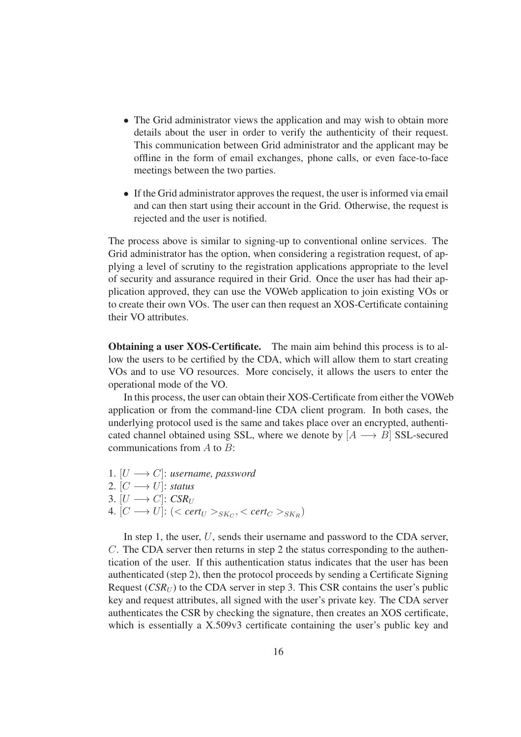- The Grid administrator views the application and may wish to obtain more details about the user in order to verify the authenticity of their request. This communication between Grid administrator and the applicant may be offline in the form of email exchanges, phone calls, or even face-to-face meetings between the two parties.
- If the Grid administrator approves the request, the user is informed via email and can then start using their account in the Grid. Otherwise, the request is rejected and the user is notified.

The process above is similar to signing-up to conventional online services. The Grid administrator has the option, when considering a registration request, of applying a level of scrutiny to the registration applications appropriate to the level of security and assurance required in their Grid. Once the user has had their application approved, they can use the VOWeb application to join existing VOs or to create their own VOs. The user can then request an XOS-Certificate containing their VO attributes.

Obtaining a user XOS-Certificate. The main aim behind this process is to allow the users to be certified by the CDA, which will allow them to start creating VOs and to use VO resources. More concisely, it allows the users to enter the operational mode of the VO.

In this process, the user can obtain their XOS-Certificate from either the VOWeb application or from the command-line CDA client program. In both cases, the underlying protocol used is the same and takes place over an encrypted, authenticated channel obtained using SSL, where we denote by  $[A \rightarrow B]$  SSL-secured communications from  $A$  to  $B$ :

- 1.  $[U \longrightarrow C]$ : *username*, *password*
- 2.  $[C \longrightarrow U]$ : *status*
- 3.  $[U \longrightarrow C]$ : *CSR<sub>U</sub>*
- $4. [C \longrightarrow U]: (*cert<sub>U</sub> ><sub>SK<sub>C</sub></sub>*, *cert<sub>C</sub> ><sub>SK<sub>R</sub></sub>*)$

In step 1, the user, U, sends their username and password to the CDA server, C. The CDA server then returns in step 2 the status corresponding to the authentication of the user. If this authentication status indicates that the user has been authenticated (step 2), then the protocol proceeds by sending a Certificate Signing Request  $(CSR_U)$  to the CDA server in step 3. This CSR contains the user's public key and request attributes, all signed with the user's private key. The CDA server authenticates the CSR by checking the signature, then creates an XOS certificate, which is essentially a X.509v3 certificate containing the user's public key and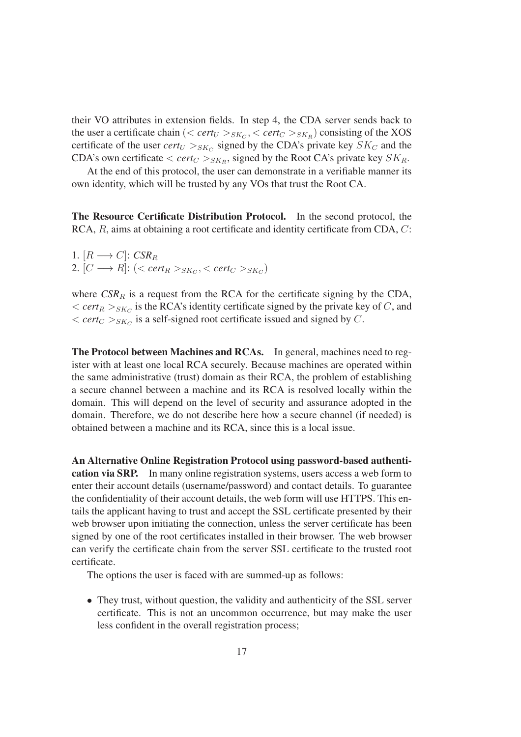their VO attributes in extension fields. In step 4, the CDA server sends back to the user a certificate chain  $\left( \langle \text{cert}_U \rangle_{SK_C}, \langle \text{cert}_C \rangle_{SK_R} \right)$  consisting of the XOS certificate of the user  $cert_U >_{SK_C}$  signed by the CDA's private key  $SK_C$  and the CDA's own certificate  $\langle cert_C\rangle_{SK_R}$ , signed by the Root CA's private key  $SK_R$ .

At the end of this protocol, the user can demonstrate in a verifiable manner its own identity, which will be trusted by any VOs that trust the Root CA.

The Resource Certificate Distribution Protocol. In the second protocol, the RCA, R, aims at obtaining a root certificate and identity certificate from CDA, C:

1.  $[R \rightarrow C]$ : *CSR<sub>R</sub>* 2.  $[C \longrightarrow R]$ :  $( $cert_R >_{SK_C}, _{SK_C})$$ 

where  $CSR_R$  is a request from the RCA for the certificate signing by the CDA,  $\langle \text{cert}_R \rangle_{SK_C}$  is the RCA's identity certificate signed by the private key of C, and  $\langle \text{cert}_C \rangle_{SK_C}$  is a self-signed root certificate issued and signed by C.

The Protocol between Machines and RCAs. In general, machines need to register with at least one local RCA securely. Because machines are operated within the same administrative (trust) domain as their RCA, the problem of establishing a secure channel between a machine and its RCA is resolved locally within the domain. This will depend on the level of security and assurance adopted in the domain. Therefore, we do not describe here how a secure channel (if needed) is obtained between a machine and its RCA, since this is a local issue.

An Alternative Online Registration Protocol using password-based authentication via SRP. In many online registration systems, users access a web form to enter their account details (username/password) and contact details. To guarantee the confidentiality of their account details, the web form will use HTTPS. This entails the applicant having to trust and accept the SSL certificate presented by their web browser upon initiating the connection, unless the server certificate has been signed by one of the root certificates installed in their browser. The web browser can verify the certificate chain from the server SSL certificate to the trusted root certificate.

The options the user is faced with are summed-up as follows:

• They trust, without question, the validity and authenticity of the SSL server certificate. This is not an uncommon occurrence, but may make the user less confident in the overall registration process;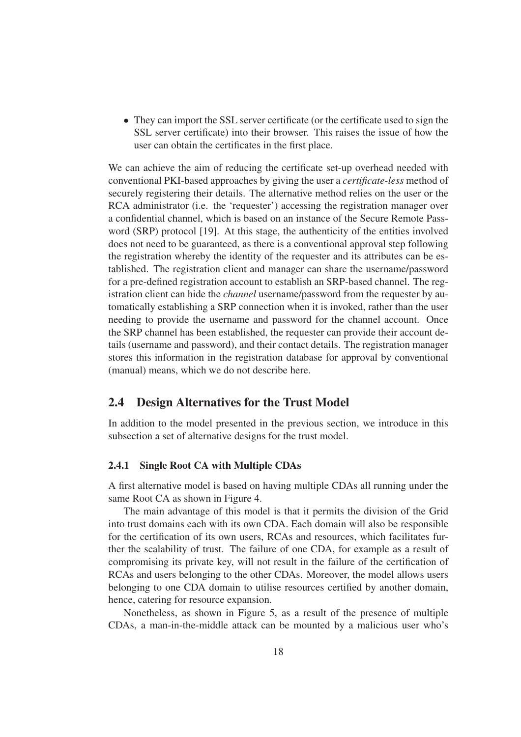• They can import the SSL server certificate (or the certificate used to sign the SSL server certificate) into their browser. This raises the issue of how the user can obtain the certificates in the first place.

We can achieve the aim of reducing the certificate set-up overhead needed with conventional PKI-based approaches by giving the user a *certificate-less* method of securely registering their details. The alternative method relies on the user or the RCA administrator (i.e. the 'requester') accessing the registration manager over a confidential channel, which is based on an instance of the Secure Remote Password (SRP) protocol [19]. At this stage, the authenticity of the entities involved does not need to be guaranteed, as there is a conventional approval step following the registration whereby the identity of the requester and its attributes can be established. The registration client and manager can share the username/password for a pre-defined registration account to establish an SRP-based channel. The registration client can hide the *channel* username/password from the requester by automatically establishing a SRP connection when it is invoked, rather than the user needing to provide the username and password for the channel account. Once the SRP channel has been established, the requester can provide their account details (username and password), and their contact details. The registration manager stores this information in the registration database for approval by conventional (manual) means, which we do not describe here.

# 2.4 Design Alternatives for the Trust Model

In addition to the model presented in the previous section, we introduce in this subsection a set of alternative designs for the trust model.

#### 2.4.1 Single Root CA with Multiple CDAs

A first alternative model is based on having multiple CDAs all running under the same Root CA as shown in Figure 4.

The main advantage of this model is that it permits the division of the Grid into trust domains each with its own CDA. Each domain will also be responsible for the certification of its own users, RCAs and resources, which facilitates further the scalability of trust. The failure of one CDA, for example as a result of compromising its private key, will not result in the failure of the certification of RCAs and users belonging to the other CDAs. Moreover, the model allows users belonging to one CDA domain to utilise resources certified by another domain, hence, catering for resource expansion.

Nonetheless, as shown in Figure 5, as a result of the presence of multiple CDAs, a man-in-the-middle attack can be mounted by a malicious user who's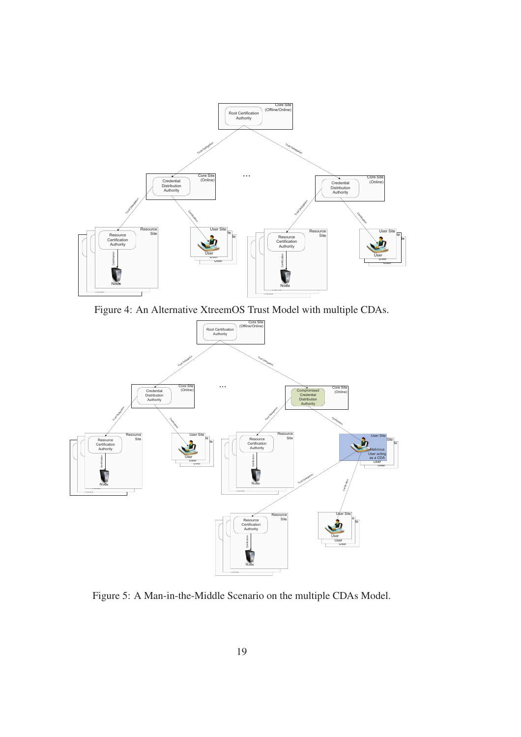

Figure 4: An Alternative XtreemOS Trust Model with multiple CDAs.



Figure 5: A Man-in-the-Middle Scenario on the multiple CDAs Model.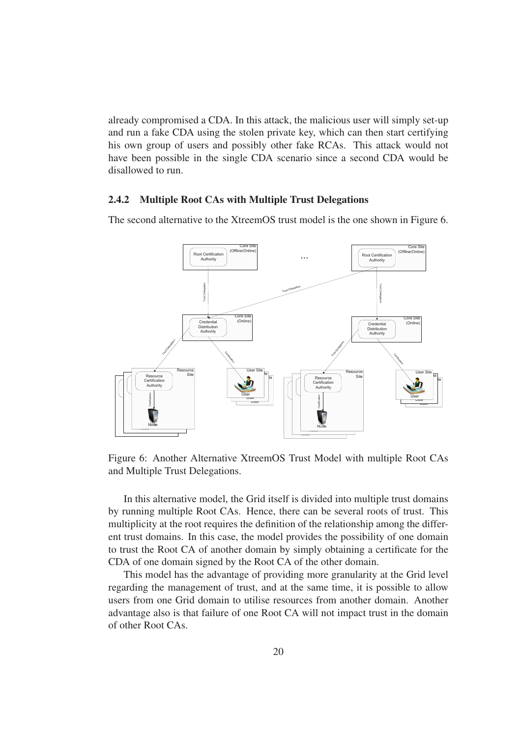already compromised a CDA. In this attack, the malicious user will simply set-up and run a fake CDA using the stolen private key, which can then start certifying his own group of users and possibly other fake RCAs. This attack would not have been possible in the single CDA scenario since a second CDA would be disallowed to run.

#### 2.4.2 Multiple Root CAs with Multiple Trust Delegations

The second alternative to the XtreemOS trust model is the one shown in Figure 6.



Figure 6: Another Alternative XtreemOS Trust Model with multiple Root CAs and Multiple Trust Delegations.

In this alternative model, the Grid itself is divided into multiple trust domains by running multiple Root CAs. Hence, there can be several roots of trust. This multiplicity at the root requires the definition of the relationship among the different trust domains. In this case, the model provides the possibility of one domain to trust the Root CA of another domain by simply obtaining a certificate for the CDA of one domain signed by the Root CA of the other domain.

This model has the advantage of providing more granularity at the Grid level regarding the management of trust, and at the same time, it is possible to allow users from one Grid domain to utilise resources from another domain. Another advantage also is that failure of one Root CA will not impact trust in the domain of other Root CAs.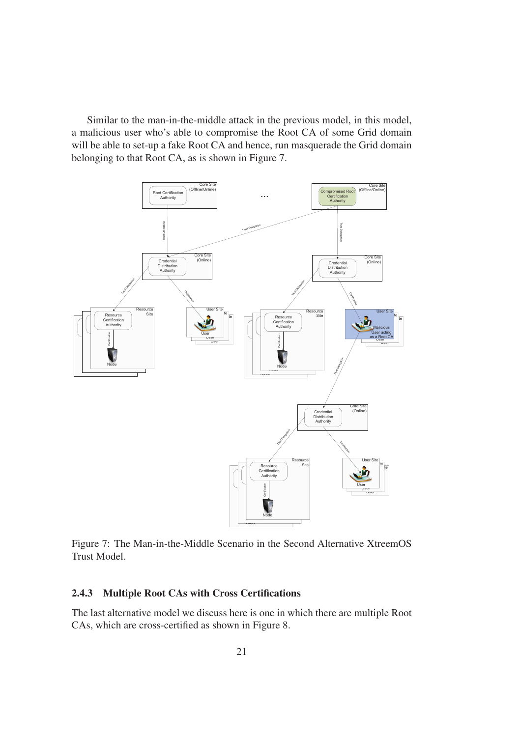Similar to the man-in-the-middle attack in the previous model, in this model, a malicious user who's able to compromise the Root CA of some Grid domain will be able to set-up a fake Root CA and hence, run masquerade the Grid domain belonging to that Root CA, as is shown in Figure 7.



Figure 7: The Man-in-the-Middle Scenario in the Second Alternative XtreemOS Trust Model.

# 2.4.3 Multiple Root CAs with Cross Certifications

The last alternative model we discuss here is one in which there are multiple Root CAs, which are cross-certified as shown in Figure 8.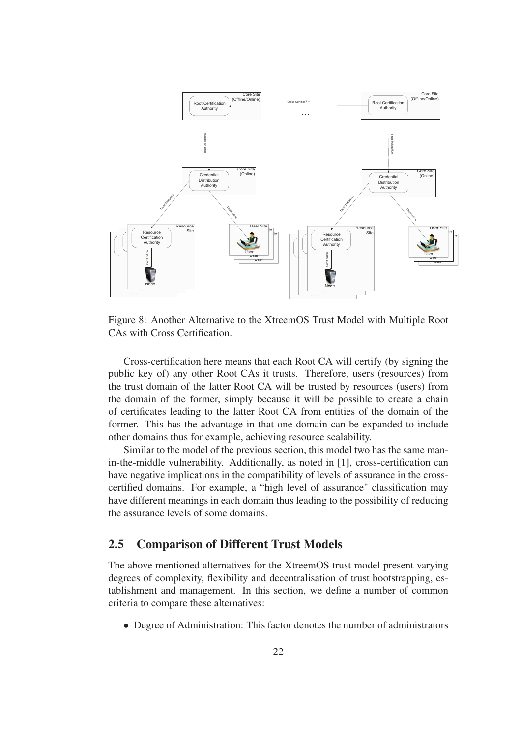

Figure 8: Another Alternative to the XtreemOS Trust Model with Multiple Root CAs with Cross Certification.

Cross-certification here means that each Root CA will certify (by signing the public key of) any other Root CAs it trusts. Therefore, users (resources) from the trust domain of the latter Root CA will be trusted by resources (users) from the domain of the former, simply because it will be possible to create a chain of certificates leading to the latter Root CA from entities of the domain of the former. This has the advantage in that one domain can be expanded to include other domains thus for example, achieving resource scalability.

Similar to the model of the previous section, this model two has the same manin-the-middle vulnerability. Additionally, as noted in [1], cross-certification can have negative implications in the compatibility of levels of assurance in the crosscertified domains. For example, a "high level of assurance" classification may have different meanings in each domain thus leading to the possibility of reducing the assurance levels of some domains.

# 2.5 Comparison of Different Trust Models

The above mentioned alternatives for the XtreemOS trust model present varying degrees of complexity, flexibility and decentralisation of trust bootstrapping, establishment and management. In this section, we define a number of common criteria to compare these alternatives:

• Degree of Administration: This factor denotes the number of administrators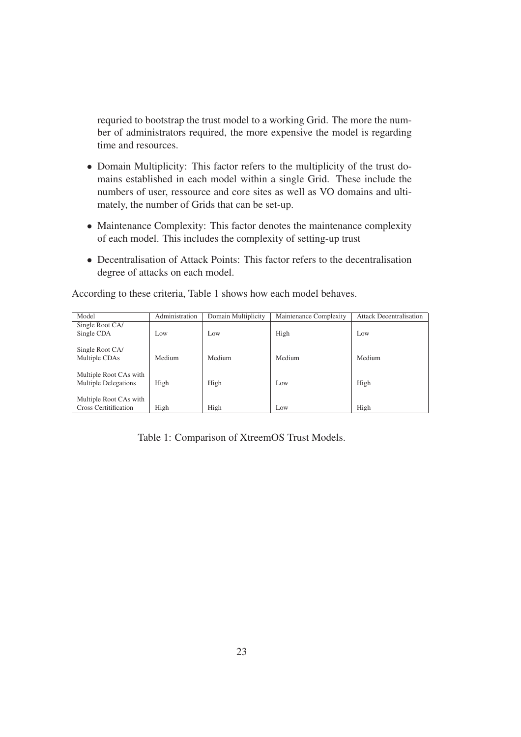requried to bootstrap the trust model to a working Grid. The more the number of administrators required, the more expensive the model is regarding time and resources.

- Domain Multiplicity: This factor refers to the multiplicity of the trust domains established in each model within a single Grid. These include the numbers of user, ressource and core sites as well as VO domains and ultimately, the number of Grids that can be set-up.
- Maintenance Complexity: This factor denotes the maintenance complexity of each model. This includes the complexity of setting-up trust
- Decentralisation of Attack Points: This factor refers to the decentralisation degree of attacks on each model.

| Model                        | Administration | Domain Multiplicity | Maintenance Complexity | <b>Attack Decentralisation</b> |
|------------------------------|----------------|---------------------|------------------------|--------------------------------|
| Single Root CA/              |                |                     |                        |                                |
| Single CDA                   | Low            | Low                 | High                   | Low                            |
|                              |                |                     |                        |                                |
| Single Root CA/              |                |                     |                        |                                |
| Multiple CDAs                | Medium         | Medium              | Medium                 | Medium                         |
|                              |                |                     |                        |                                |
| Multiple Root CAs with       |                |                     |                        |                                |
| <b>Multiple Delegations</b>  | High           | High                | Low                    | High                           |
|                              |                |                     |                        |                                |
| Multiple Root CAs with       |                |                     |                        |                                |
| <b>Cross Certitification</b> | High           | High                | Low                    | High                           |

According to these criteria, Table 1 shows how each model behaves.

Table 1: Comparison of XtreemOS Trust Models.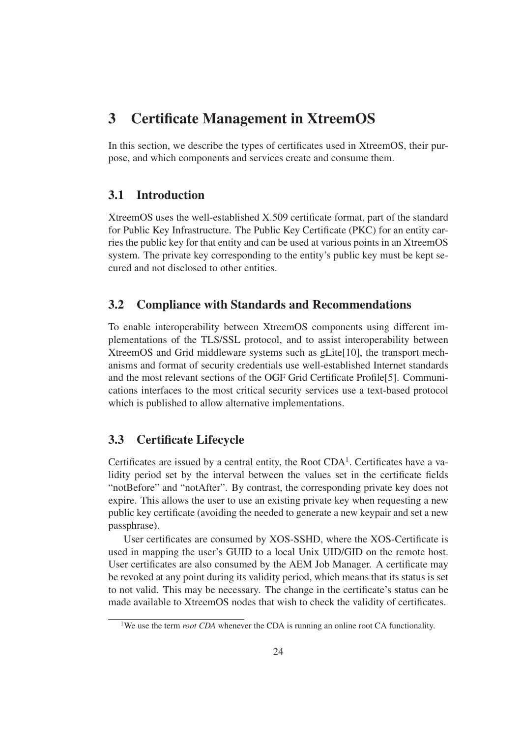# 3 Certificate Management in XtreemOS

In this section, we describe the types of certificates used in XtreemOS, their purpose, and which components and services create and consume them.

# 3.1 Introduction

XtreemOS uses the well-established X.509 certificate format, part of the standard for Public Key Infrastructure. The Public Key Certificate (PKC) for an entity carries the public key for that entity and can be used at various points in an XtreemOS system. The private key corresponding to the entity's public key must be kept secured and not disclosed to other entities.

# 3.2 Compliance with Standards and Recommendations

To enable interoperability between XtreemOS components using different implementations of the TLS/SSL protocol, and to assist interoperability between XtreemOS and Grid middleware systems such as gLite[10], the transport mechanisms and format of security credentials use well-established Internet standards and the most relevant sections of the OGF Grid Certificate Profile[5]. Communications interfaces to the most critical security services use a text-based protocol which is published to allow alternative implementations.

# 3.3 Certificate Lifecycle

Certificates are issued by a central entity, the Root  $CDA<sup>1</sup>$ . Certificates have a validity period set by the interval between the values set in the certificate fields "notBefore" and "notAfter". By contrast, the corresponding private key does not expire. This allows the user to use an existing private key when requesting a new public key certificate (avoiding the needed to generate a new keypair and set a new passphrase).

User certificates are consumed by XOS-SSHD, where the XOS-Certificate is used in mapping the user's GUID to a local Unix UID/GID on the remote host. User certificates are also consumed by the AEM Job Manager. A certificate may be revoked at any point during its validity period, which means that its status is set to not valid. This may be necessary. The change in the certificate's status can be made available to XtreemOS nodes that wish to check the validity of certificates.

<sup>&</sup>lt;sup>1</sup>We use the term *root CDA* whenever the CDA is running an online root CA functionality.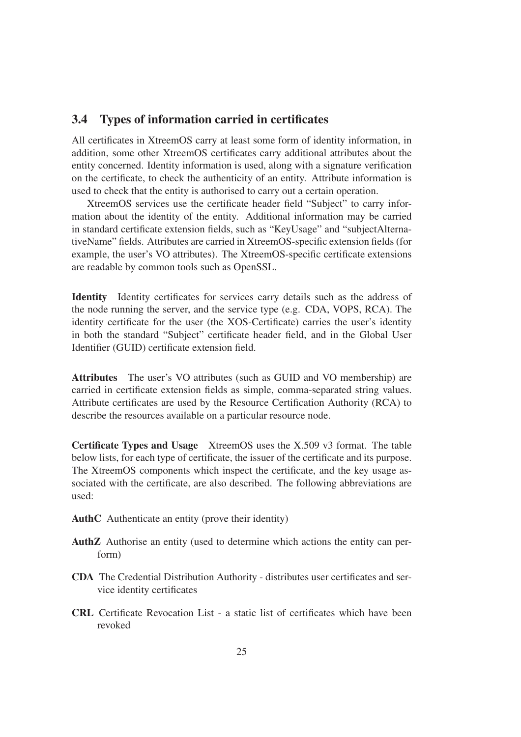## 3.4 Types of information carried in certificates

All certificates in XtreemOS carry at least some form of identity information, in addition, some other XtreemOS certificates carry additional attributes about the entity concerned. Identity information is used, along with a signature verification on the certificate, to check the authenticity of an entity. Attribute information is used to check that the entity is authorised to carry out a certain operation.

XtreemOS services use the certificate header field "Subject" to carry information about the identity of the entity. Additional information may be carried in standard certificate extension fields, such as "KeyUsage" and "subjectAlternativeName" fields. Attributes are carried in XtreemOS-specific extension fields (for example, the user's VO attributes). The XtreemOS-specific certificate extensions are readable by common tools such as OpenSSL.

Identity Identity certificates for services carry details such as the address of the node running the server, and the service type (e.g. CDA, VOPS, RCA). The identity certificate for the user (the XOS-Certificate) carries the user's identity in both the standard "Subject" certificate header field, and in the Global User Identifier (GUID) certificate extension field.

Attributes The user's VO attributes (such as GUID and VO membership) are carried in certificate extension fields as simple, comma-separated string values. Attribute certificates are used by the Resource Certification Authority (RCA) to describe the resources available on a particular resource node.

Certificate Types and Usage XtreemOS uses the X.509 v3 format. The table below lists, for each type of certificate, the issuer of the certificate and its purpose. The XtreemOS components which inspect the certificate, and the key usage associated with the certificate, are also described. The following abbreviations are used:

- AuthC Authenticate an entity (prove their identity)
- AuthZ Authorise an entity (used to determine which actions the entity can perform)
- CDA The Credential Distribution Authority distributes user certificates and service identity certificates
- CRL Certificate Revocation List a static list of certificates which have been revoked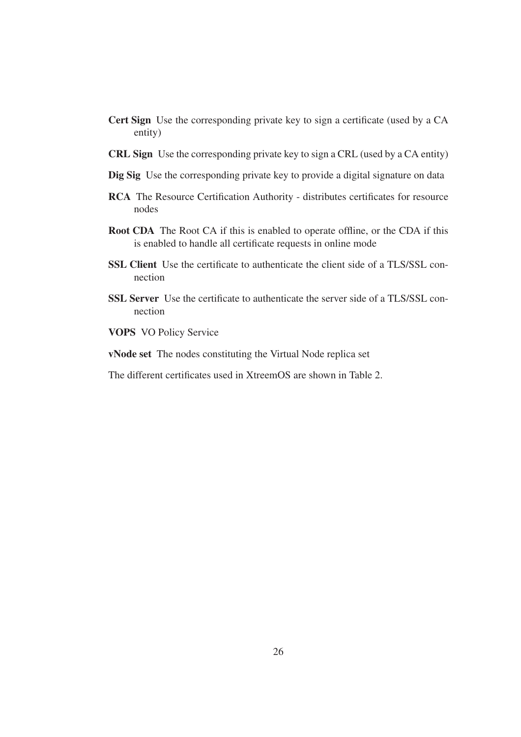- Cert Sign Use the corresponding private key to sign a certificate (used by a CA entity)
- CRL Sign Use the corresponding private key to sign a CRL (used by a CA entity)
- Dig Sig Use the corresponding private key to provide a digital signature on data
- RCA The Resource Certification Authority distributes certificates for resource nodes
- Root CDA The Root CA if this is enabled to operate offline, or the CDA if this is enabled to handle all certificate requests in online mode
- SSL Client Use the certificate to authenticate the client side of a TLS/SSL connection
- SSL Server Use the certificate to authenticate the server side of a TLS/SSL connection

VOPS VO Policy Service

vNode set The nodes constituting the Virtual Node replica set

The different certificates used in XtreemOS are shown in Table 2.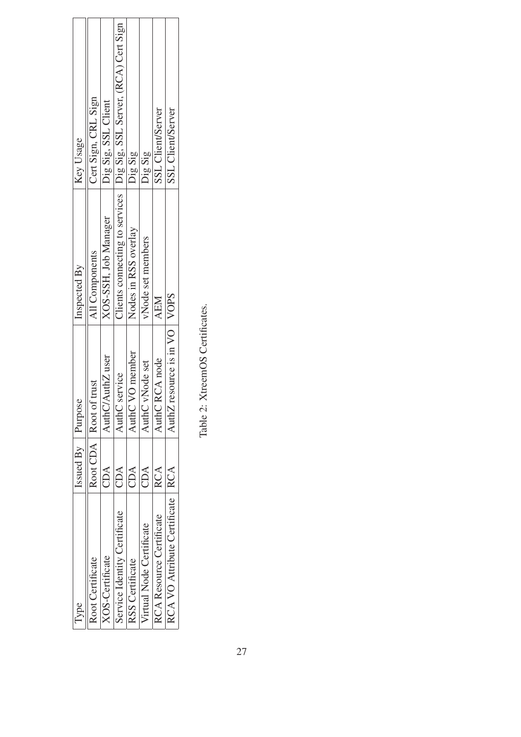| Type                               | Issued $By$ Purpose |                                   | Inspected By         | Key Usage                                                             |
|------------------------------------|---------------------|-----------------------------------|----------------------|-----------------------------------------------------------------------|
| <b>Root Certificate</b>            |                     | Root CDA   Root of trust          | All Components       | Cert Sign, CRL Sign                                                   |
| <b>XOS-Certificate</b>             | CDA                 | AuthC/AuthZ user                  | XOS-SSH, Job Manager | Dig Sig, SSL Client                                                   |
| Service Identity Certificate       | CDA                 | service<br>$\Delta$ uth $C$       |                      | Clients connecting to services   Dig Sig, SSL Server, (RCA) Cert Sign |
| RSS Certificate                    | CDA                 | VO member<br>AuthC                | Nodes in RSS overlay | Dig Sig                                                               |
| Virtual Node Certificate           | CDA                 | vNode set<br>AuthC                | vNode set members    | Dig Sig                                                               |
| <b>Resource Certificate</b>        | <b>RCA</b>          | RCA node<br>$\Delta$ uth $C$      | <b>AEM</b>           | SSL Client/Server                                                     |
| RCA VO Attribute Certificate   RCA |                     | resource is in VO   VOPS<br>AuthZ |                      | <b>SSL</b> Client/Server                                              |

Table 2: XtreemOS Certificates. Table 2: XtreemOS Certificates.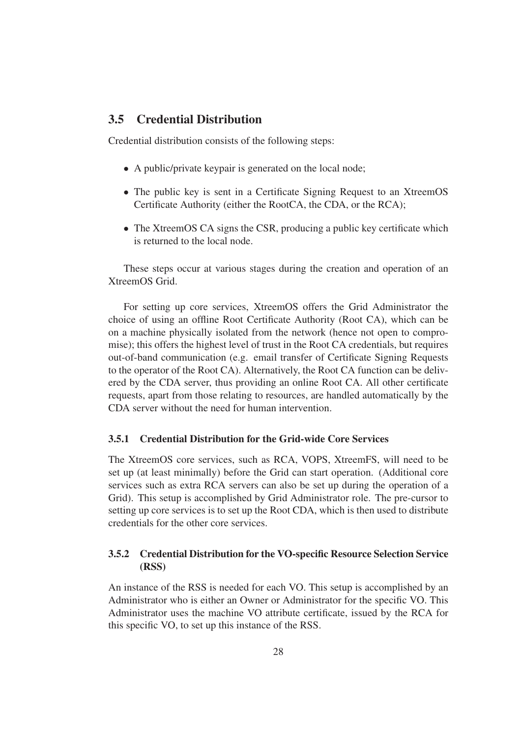# 3.5 Credential Distribution

Credential distribution consists of the following steps:

- A public/private keypair is generated on the local node;
- The public key is sent in a Certificate Signing Request to an XtreemOS Certificate Authority (either the RootCA, the CDA, or the RCA);
- The XtreemOS CA signs the CSR, producing a public key certificate which is returned to the local node.

These steps occur at various stages during the creation and operation of an XtreemOS Grid.

For setting up core services, XtreemOS offers the Grid Administrator the choice of using an offline Root Certificate Authority (Root CA), which can be on a machine physically isolated from the network (hence not open to compromise); this offers the highest level of trust in the Root CA credentials, but requires out-of-band communication (e.g. email transfer of Certificate Signing Requests to the operator of the Root CA). Alternatively, the Root CA function can be delivered by the CDA server, thus providing an online Root CA. All other certificate requests, apart from those relating to resources, are handled automatically by the CDA server without the need for human intervention.

## 3.5.1 Credential Distribution for the Grid-wide Core Services

The XtreemOS core services, such as RCA, VOPS, XtreemFS, will need to be set up (at least minimally) before the Grid can start operation. (Additional core services such as extra RCA servers can also be set up during the operation of a Grid). This setup is accomplished by Grid Administrator role. The pre-cursor to setting up core services is to set up the Root CDA, which is then used to distribute credentials for the other core services.

## 3.5.2 Credential Distribution for the VO-specific Resource Selection Service (RSS)

An instance of the RSS is needed for each VO. This setup is accomplished by an Administrator who is either an Owner or Administrator for the specific VO. This Administrator uses the machine VO attribute certificate, issued by the RCA for this specific VO, to set up this instance of the RSS.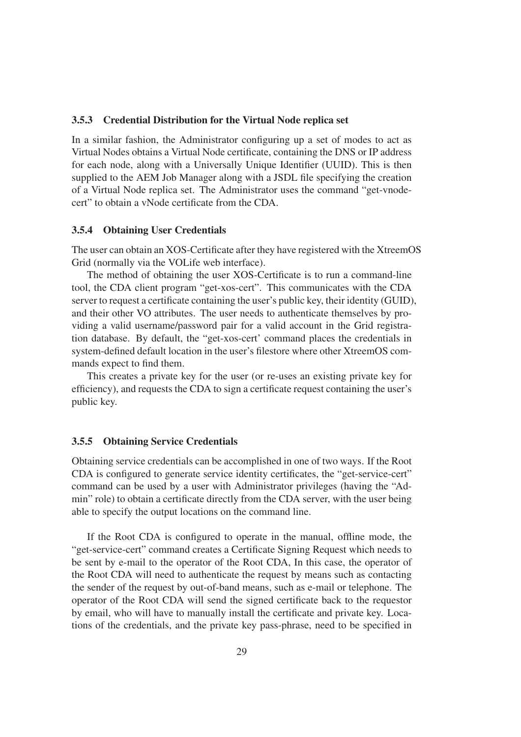#### 3.5.3 Credential Distribution for the Virtual Node replica set

In a similar fashion, the Administrator configuring up a set of modes to act as Virtual Nodes obtains a Virtual Node certificate, containing the DNS or IP address for each node, along with a Universally Unique Identifier (UUID). This is then supplied to the AEM Job Manager along with a JSDL file specifying the creation of a Virtual Node replica set. The Administrator uses the command "get-vnodecert" to obtain a vNode certificate from the CDA.

#### 3.5.4 Obtaining User Credentials

The user can obtain an XOS-Certificate after they have registered with the XtreemOS Grid (normally via the VOLife web interface).

The method of obtaining the user XOS-Certificate is to run a command-line tool, the CDA client program "get-xos-cert". This communicates with the CDA server to request a certificate containing the user's public key, their identity (GUID), and their other VO attributes. The user needs to authenticate themselves by providing a valid username/password pair for a valid account in the Grid registration database. By default, the "get-xos-cert' command places the credentials in system-defined default location in the user's filestore where other XtreemOS commands expect to find them.

This creates a private key for the user (or re-uses an existing private key for efficiency), and requests the CDA to sign a certificate request containing the user's public key.

#### 3.5.5 Obtaining Service Credentials

Obtaining service credentials can be accomplished in one of two ways. If the Root CDA is configured to generate service identity certificates, the "get-service-cert" command can be used by a user with Administrator privileges (having the "Admin" role) to obtain a certificate directly from the CDA server, with the user being able to specify the output locations on the command line.

If the Root CDA is configured to operate in the manual, offline mode, the "get-service-cert" command creates a Certificate Signing Request which needs to be sent by e-mail to the operator of the Root CDA, In this case, the operator of the Root CDA will need to authenticate the request by means such as contacting the sender of the request by out-of-band means, such as e-mail or telephone. The operator of the Root CDA will send the signed certificate back to the requestor by email, who will have to manually install the certificate and private key. Locations of the credentials, and the private key pass-phrase, need to be specified in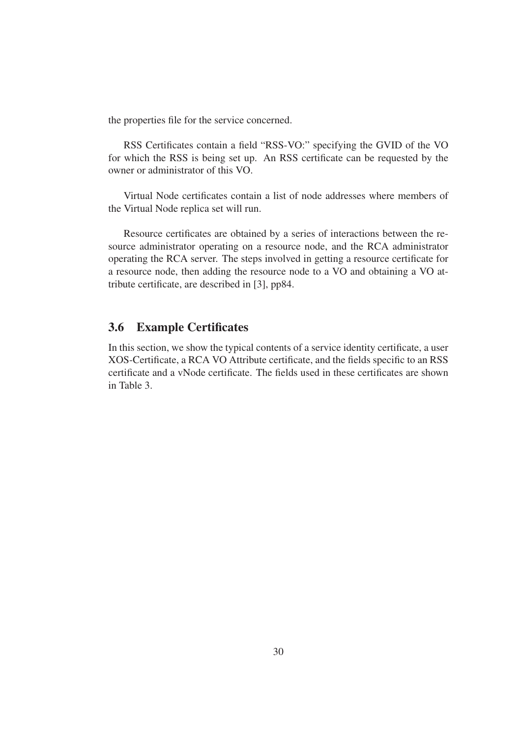the properties file for the service concerned.

RSS Certificates contain a field "RSS-VO:" specifying the GVID of the VO for which the RSS is being set up. An RSS certificate can be requested by the owner or administrator of this VO.

Virtual Node certificates contain a list of node addresses where members of the Virtual Node replica set will run.

Resource certificates are obtained by a series of interactions between the resource administrator operating on a resource node, and the RCA administrator operating the RCA server. The steps involved in getting a resource certificate for a resource node, then adding the resource node to a VO and obtaining a VO attribute certificate, are described in [3], pp84.

# 3.6 Example Certificates

In this section, we show the typical contents of a service identity certificate, a user XOS-Certificate, a RCA VO Attribute certificate, and the fields specific to an RSS certificate and a vNode certificate. The fields used in these certificates are shown in Table 3.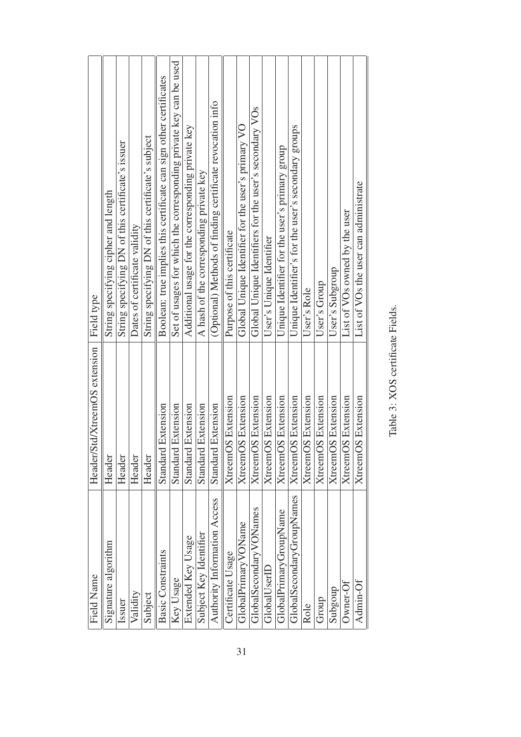| Field type                    | String specifying cipher and length | String specifying DN of this certificate's issuer | Dates of certificate validity | String specifying DN of this certificate's subject | Boolean: true implies this certificate can sign other certificates | Set of usages for which the corresponding private key can be used | Additional usage for the corresponding private key | A hash of the corresponding private key | (Optional) Methods of finding certificate revocation info | Purpose of this certificate | Global Unique Identifier for the user's primary VO | Global Unique Identifiers for the user's secondary VOs | User's Unique Identifier  | Unique Identifier for the user's primary group | Unique Identifier's for the user's secondary groups | User's Role               | User's Group              | User's Subgroup           | List of VOs owned by the user | List of VOs the user can administrate |
|-------------------------------|-------------------------------------|---------------------------------------------------|-------------------------------|----------------------------------------------------|--------------------------------------------------------------------|-------------------------------------------------------------------|----------------------------------------------------|-----------------------------------------|-----------------------------------------------------------|-----------------------------|----------------------------------------------------|--------------------------------------------------------|---------------------------|------------------------------------------------|-----------------------------------------------------|---------------------------|---------------------------|---------------------------|-------------------------------|---------------------------------------|
| Header/Std/XtreemOS extension | Header                              | Header                                            | Header                        | Header                                             | Extension<br>Standard                                              | Extension<br>Standard                                             | Extension<br>Standard                              | Extension<br>Standard                   | Extension<br>Standard                                     | <b>XtreemOS</b> Extension   | <b>XtreemOS</b> Extension                          | <b>XtreemOS</b> Extension                              | <b>XtreemOS</b> Extension | <b>XtreemOS</b> Extension                      | <b>XtreemOS</b> Extension                           | <b>XtreemOS</b> Extension | <b>XtreemOS Extension</b> | <b>XtreemOS</b> Extension | <b>XtreemOS</b> Extension     | <b>XtreemOS</b> Extension             |
| <b>Field Name</b>             | Signature algorithm                 | Issuer                                            | Validity                      | Subject                                            | <b>Basic Constraints</b>                                           | Key Usage                                                         | Extended Key Usage                                 | Subject Key Identifier                  | Authority Information Access                              | Certificate Usage           | GlobalPrimary VOName                               | GlobalSecondaryVONames                                 | GlobalUserID              | GlobalPrimaryGroupName                         | GlobalSecondaryGroupNames                           | Role                      | Group                     | Subgoup                   | $0$ wner-Of                   | Admin-Of                              |

Table 3: XOS certificate Fields. Table 3: XOS certificate Fields.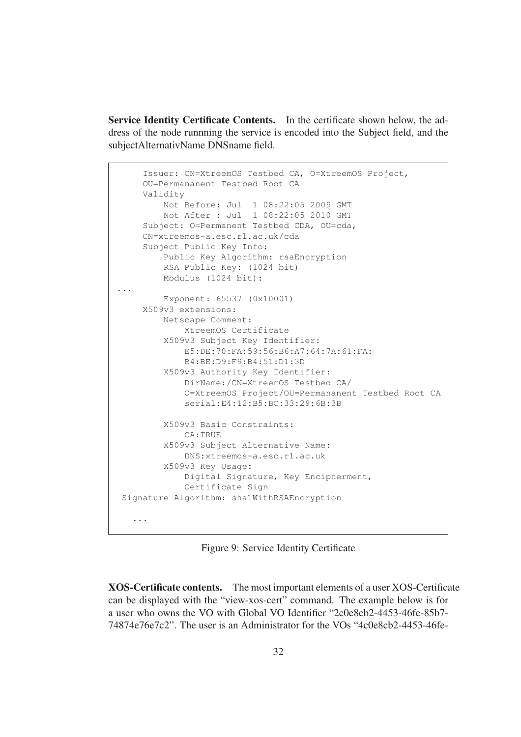Service Identity Certificate Contents. In the certificate shown below, the address of the node runnning the service is encoded into the Subject field, and the subjectAlternativName DNSname field.

```
Issuer: CN=XtreemOS Testbed CA, O=XtreemOS Project,
    OU=Permananent Testbed Root CA
    Validity
        Not Before: Jul 1 08:22:05 2009 GMT
        Not After : Jul 1 08:22:05 2010 GMT
     Subject: O=Permanent Testbed CDA, OU=cda,
    CN=xtreemos-a.esc.rl.ac.uk/cda
    Subject Public Key Info:
        Public Key Algorithm: rsaEncryption
        RSA Public Key: (1024 bit)
        Modulus (1024 bit):
...
         Exponent: 65537 (0x10001)
    X509v3 extensions:
        Netscape Comment:
             XtreemOS Certificate
        X509v3 Subject Key Identifier:
            E5:DE:70:FA:59:56:B6:A7:64:7A:61:FA:
            B4:BE:D9:F9:B4:51:D1:3D
         X509v3 Authority Key Identifier:
             DirName:/CN=XtreemOS Testbed CA/
             O=XtreemOS Project/OU=Permananent Testbed Root CA
             serial:E4:12:B5:BC:33:29:6B:3B
        X509v3 Basic Constraints:
            CA:TRUE
        X509v3 Subject Alternative Name:
             DNS:xtreemos-a.esc.rl.ac.uk
         X509v3 Key Usage:
            Digital Signature, Key Encipherment,
            Certificate Sign
Signature Algorithm: sha1WithRSAEncryption
   ...
```
Figure 9: Service Identity Certificate

XOS-Certificate contents. The most important elements of a user XOS-Certificate can be displayed with the "view-xos-cert" command. The example below is for a user who owns the VO with Global VO Identifier "2c0e8cb2-4453-46fe-85b7- 74874e76e7c2". The user is an Administrator for the VOs "4c0e8cb2-4453-46fe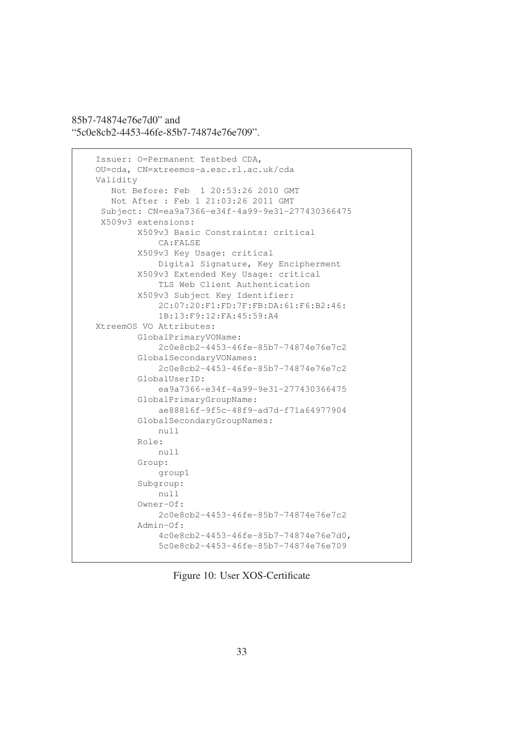85b7-74874e76e7d0" and "5c0e8cb2-4453-46fe-85b7-74874e76e709".

```
Issuer: O=Permanent Testbed CDA,
OU=cda, CN=xtreemos-a.esc.rl.ac.uk/cda
Validity
  Not Before: Feb 1 20:53:26 2010 GMT
  Not After : Feb 1 21:03:26 2011 GMT
 Subject: CN=ea9a7366-e34f-4a99-9e31-277430366475
 X509v3 extensions:
        X509v3 Basic Constraints: critical
            CA:FALSE
        X509v3 Key Usage: critical
            Digital Signature, Key Encipherment
        X509v3 Extended Key Usage: critical
            TLS Web Client Authentication
        X509v3 Subject Key Identifier:
            2C:07:20:F1:FD:7F:FB:DA:61:F6:B2:46:
            1B:13:F9:12:FA:45:59:A4
XtreemOS VO Attributes:
        GlobalPrimaryVOName:
            2c0e8cb2-4453-46fe-85b7-74874e76e7c2
        GlobalSecondaryVONames:
            2c0e8cb2-4453-46fe-85b7-74874e76e7c2
        GlobalUserID:
            ea9a7366-e34f-4a99-9e31-277430366475
        GlobalPrimaryGroupName:
            ae88816f-9f5c-48f9-ad7d-f71a64977904
        GlobalSecondaryGroupNames:
            null
        Role:
            null
        Group:
            group1
        Subgroup:
           null
        Owner-Of:
            2c0e8cb2-4453-46fe-85b7-74874e76e7c2
        Admin-Of:
            4c0e8cb2-4453-46fe-85b7-74874e76e7d0,
            5c0e8cb2-4453-46fe-85b7-74874e76e709
```
Figure 10: User XOS-Certificate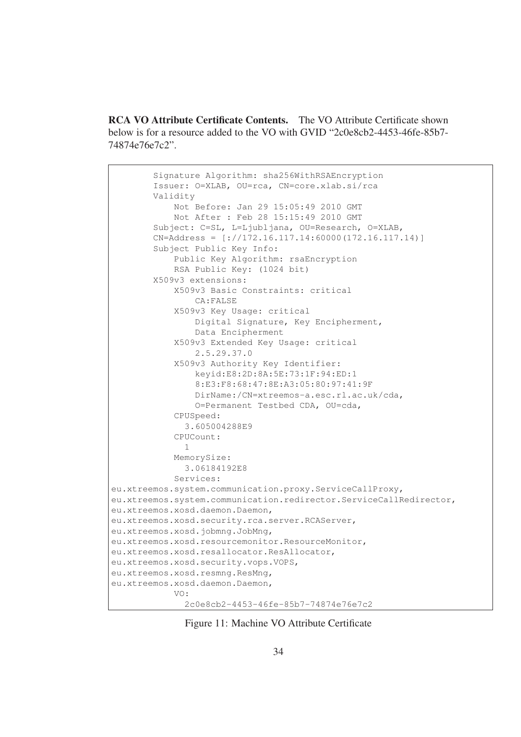RCA VO Attribute Certificate Contents. The VO Attribute Certificate shown below is for a resource added to the VO with GVID "2c0e8cb2-4453-46fe-85b7- 74874e76e7c2".

```
Signature Algorithm: sha256WithRSAEncryption
        Issuer: O=XLAB, OU=rca, CN=core.xlab.si/rca
        Validity
            Not Before: Jan 29 15:05:49 2010 GMT
            Not After : Feb 28 15:15:49 2010 GMT
        Subject: C=SL, L=Ljubljana, OU=Research, O=XLAB,
        CN=Address = [\frac{1}{7}/172.16.117.14:60000(172.16.117.14)]Subject Public Key Info:
            Public Key Algorithm: rsaEncryption
            RSA Public Key: (1024 bit)
        X509v3 extensions:
            X509v3 Basic Constraints: critical
                CA:FALSE
            X509v3 Key Usage: critical
                Digital Signature, Key Encipherment,
                Data Encipherment
            X509v3 Extended Key Usage: critical
                2.5.29.37.0
            X509v3 Authority Key Identifier:
                keyid:E8:2D:8A:5E:73:1F:94:ED:1
                8:E3:F8:68:47:8E:A3:05:80:97:41:9F
                DirName:/CN=xtreemos-a.esc.rl.ac.uk/cda,
                O=Permanent Testbed CDA, OU=cda,
            CPUSpeed:
              3.605004288E9
            CPUCount:
              1
            MemorySize:
              3.06184192E8
            Services:
eu.xtreemos.system.communication.proxy.ServiceCallProxy,
eu.xtreemos.system.communication.redirector.ServiceCallRedirector,
eu.xtreemos.xosd.daemon.Daemon,
eu.xtreemos.xosd.security.rca.server.RCAServer,
eu.xtreemos.xosd.jobmng.JobMng,
eu.xtreemos.xosd.resourcemonitor.ResourceMonitor,
eu.xtreemos.xosd.resallocator.ResAllocator,
eu.xtreemos.xosd.security.vops.VOPS,
eu.xtreemos.xosd.resmng.ResMng,
eu.xtreemos.xosd.daemon.Daemon,
            V \cap2c0e8cb2-4453-46fe-85b7-74874e76e7c2
```
Figure 11: Machine VO Attribute Certificate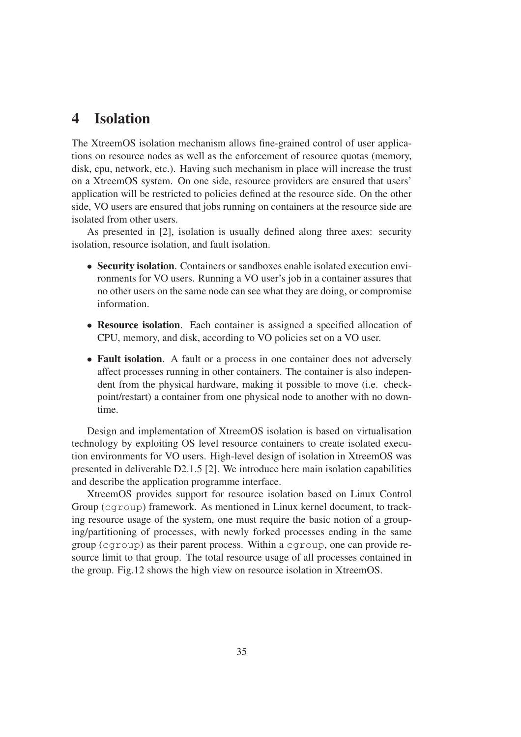# 4 Isolation

The XtreemOS isolation mechanism allows fine-grained control of user applications on resource nodes as well as the enforcement of resource quotas (memory, disk, cpu, network, etc.). Having such mechanism in place will increase the trust on a XtreemOS system. On one side, resource providers are ensured that users' application will be restricted to policies defined at the resource side. On the other side, VO users are ensured that jobs running on containers at the resource side are isolated from other users.

As presented in [2], isolation is usually defined along three axes: security isolation, resource isolation, and fault isolation.

- Security isolation. Containers or sandboxes enable isolated execution environments for VO users. Running a VO user's job in a container assures that no other users on the same node can see what they are doing, or compromise information.
- Resource isolation. Each container is assigned a specified allocation of CPU, memory, and disk, according to VO policies set on a VO user.
- Fault isolation. A fault or a process in one container does not adversely affect processes running in other containers. The container is also independent from the physical hardware, making it possible to move (i.e. checkpoint/restart) a container from one physical node to another with no downtime.

Design and implementation of XtreemOS isolation is based on virtualisation technology by exploiting OS level resource containers to create isolated execution environments for VO users. High-level design of isolation in XtreemOS was presented in deliverable D2.1.5 [2]. We introduce here main isolation capabilities and describe the application programme interface.

XtreemOS provides support for resource isolation based on Linux Control Group (cgroup) framework. As mentioned in Linux kernel document, to tracking resource usage of the system, one must require the basic notion of a grouping/partitioning of processes, with newly forked processes ending in the same group (cgroup) as their parent process. Within a cgroup, one can provide resource limit to that group. The total resource usage of all processes contained in the group. Fig.12 shows the high view on resource isolation in XtreemOS.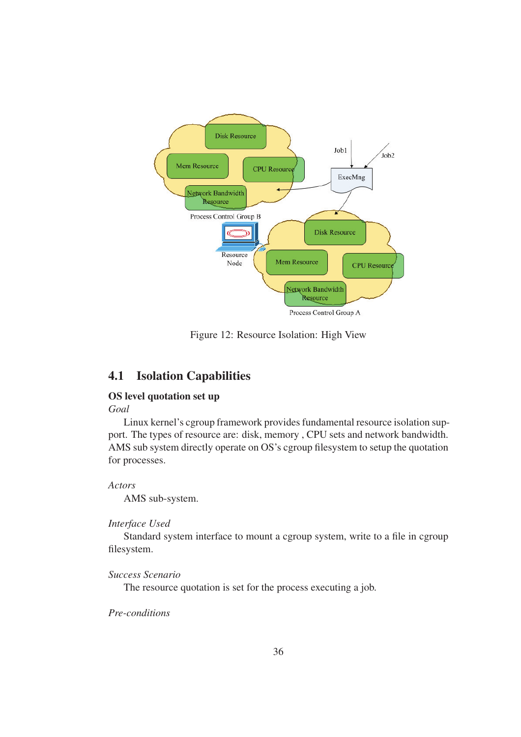

Figure 12: Resource Isolation: High View

# 4.1 Isolation Capabilities

## OS level quotation set up

#### *Goal*

Linux kernel's cgroup framework provides fundamental resource isolation support. The types of resource are: disk, memory , CPU sets and network bandwidth. AMS sub system directly operate on OS's cgroup filesystem to setup the quotation for processes.

#### *Actors*

AMS sub-system.

### *Interface Used*

Standard system interface to mount a cgroup system, write to a file in cgroup filesystem.

*Success Scenario*

The resource quotation is set for the process executing a job.

# *Pre-conditions*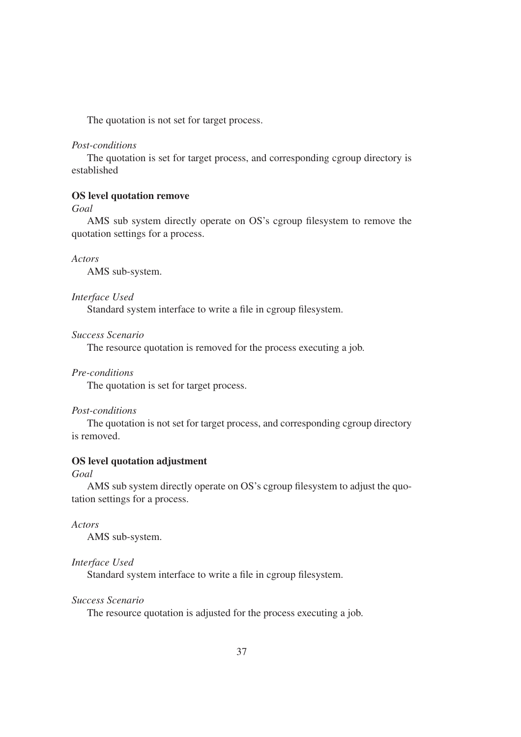The quotation is not set for target process.

#### *Post-conditions*

The quotation is set for target process, and corresponding cgroup directory is established

#### OS level quotation remove

*Goal*

AMS sub system directly operate on OS's cgroup filesystem to remove the quotation settings for a process.

*Actors*

AMS sub-system.

#### *Interface Used*

Standard system interface to write a file in cgroup filesystem.

*Success Scenario*

The resource quotation is removed for the process executing a job.

#### *Pre-conditions*

The quotation is set for target process.

#### *Post-conditions*

The quotation is not set for target process, and corresponding cgroup directory is removed.

#### OS level quotation adjustment

### *Goal*

AMS sub system directly operate on OS's cgroup filesystem to adjust the quotation settings for a process.

*Actors*

AMS sub-system.

#### *Interface Used*

Standard system interface to write a file in cgroup filesystem.

### *Success Scenario*

The resource quotation is adjusted for the process executing a job.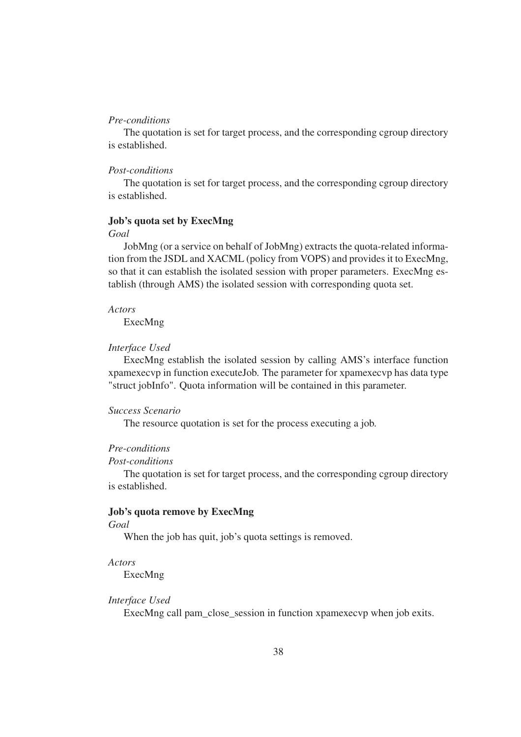#### *Pre-conditions*

The quotation is set for target process, and the corresponding cgroup directory is established.

#### *Post-conditions*

The quotation is set for target process, and the corresponding cgroup directory is established.

#### Job's quota set by ExecMng

#### *Goal*

JobMng (or a service on behalf of JobMng) extracts the quota-related information from the JSDL and XACML (policy from VOPS) and provides it to ExecMng, so that it can establish the isolated session with proper parameters. ExecMng establish (through AMS) the isolated session with corresponding quota set.

#### *Actors*

ExecMng

#### *Interface Used*

ExecMng establish the isolated session by calling AMS's interface function xpamexecvp in function executeJob. The parameter for xpamexecvp has data type "struct jobInfo". Quota information will be contained in this parameter.

#### *Success Scenario*

The resource quotation is set for the process executing a job.

#### *Pre-conditions*

#### *Post-conditions*

The quotation is set for target process, and the corresponding cgroup directory is established.

#### Job's quota remove by ExecMng

#### *Goal*

When the job has quit, job's quota settings is removed.

#### *Actors*

ExecMng

#### *Interface Used*

ExecMng call pam\_close\_session in function xpamexecvp when job exits.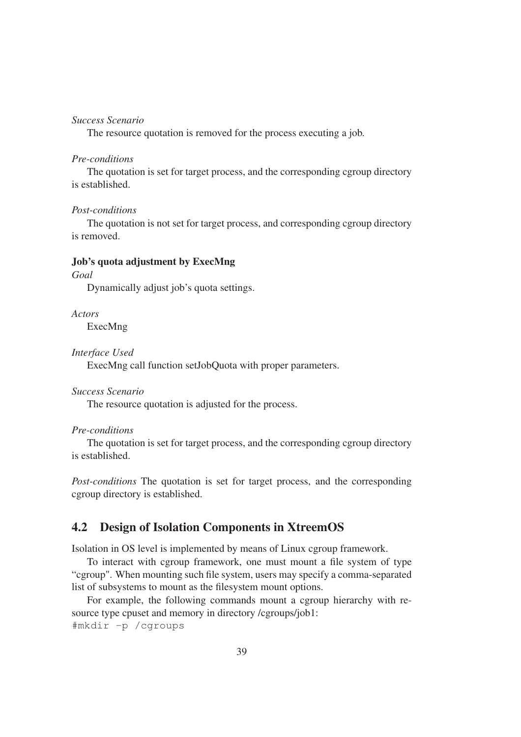#### *Success Scenario*

The resource quotation is removed for the process executing a job.

#### *Pre-conditions*

The quotation is set for target process, and the corresponding cgroup directory is established.

#### *Post-conditions*

The quotation is not set for target process, and corresponding cgroup directory is removed.

#### Job's quota adjustment by ExecMng

*Goal*

Dynamically adjust job's quota settings.

*Actors*

ExecMng

*Interface Used*

ExecMng call function setJobQuota with proper parameters.

#### *Success Scenario*

The resource quotation is adjusted for the process.

#### *Pre-conditions*

The quotation is set for target process, and the corresponding cgroup directory is established.

*Post-conditions* The quotation is set for target process, and the corresponding cgroup directory is established.

# 4.2 Design of Isolation Components in XtreemOS

Isolation in OS level is implemented by means of Linux cgroup framework.

To interact with cgroup framework, one must mount a file system of type "cgroup". When mounting such file system, users may specify a comma-separated list of subsystems to mount as the filesystem mount options.

For example, the following commands mount a cgroup hierarchy with resource type cpuset and memory in directory /cgroups/job1: #mkdir -p /cgroups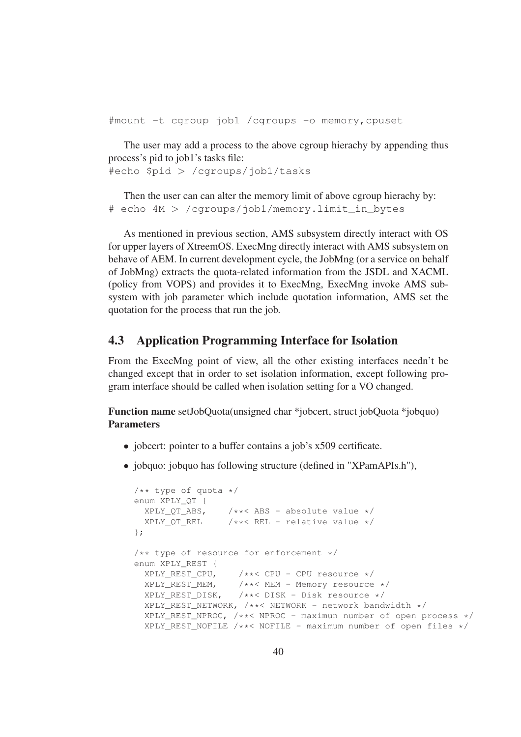#mount -t cgroup job1 /cgroups -o memory,cpuset

The user may add a process to the above cgroup hierachy by appending thus process's pid to job1's tasks file:

#echo \$pid > /cgroups/job1/tasks

Then the user can can alter the memory limit of above cgroup hierachy by: # echo 4M > /cgroups/job1/memory.limit\_in\_bytes

As mentioned in previous section, AMS subsystem directly interact with OS for upper layers of XtreemOS. ExecMng directly interact with AMS subsystem on behave of AEM. In current development cycle, the JobMng (or a service on behalf of JobMng) extracts the quota-related information from the JSDL and XACML (policy from VOPS) and provides it to ExecMng, ExecMng invoke AMS subsystem with job parameter which include quotation information, AMS set the quotation for the process that run the job.

# 4.3 Application Programming Interface for Isolation

From the ExecMng point of view, all the other existing interfaces needn't be changed except that in order to set isolation information, except following program interface should be called when isolation setting for a VO changed.

Function name setJobQuota(unsigned char \*jobcert, struct jobQuota \*jobquo) Parameters

- jobcert: pointer to a buffer contains a job's x509 certificate.
- jobquo: jobquo has following structure (defined in "XPamAPIs.h").

```
/** type of quota */enum XPLY_QT {
 XPLY_QT_ABS, /**<ABS - absolute value */<br>XPLY_QT_REL /**< REL - relative value */
                  \sqrt{**}< REL - relative value */};
/** type of resource for enforcement */enum XPLY_REST {
 XPLY_REST_CPU, /**< CPU - CPU resource */
  XPLY_REST_MEM, /**< MEM - Memory resource */
  XPLY_REST_DISK, /**< DISK - Disk resource */
  XPLY_REST_NETWORK, /**< NETWORK - network bandwidth */
  XPLY REST NPROC, /**< NPROC - maximun number of open process */
  XPLY_REST_NOFILE /**< NOFILE - maximum number of open files */
```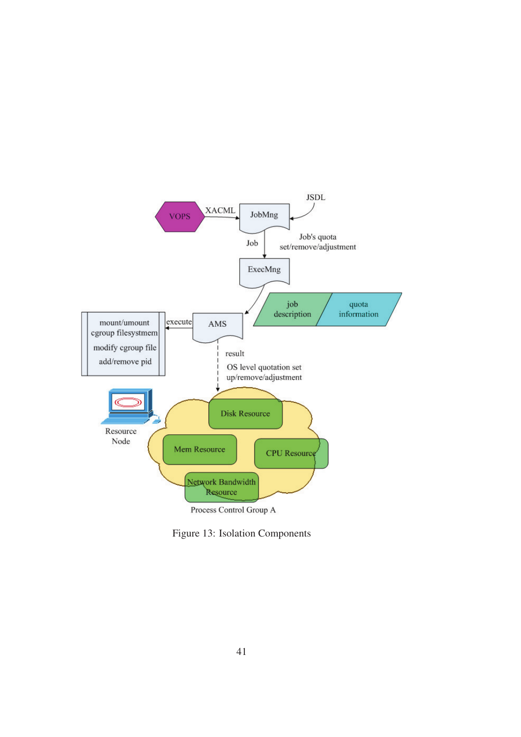

Figure 13: Isolation Components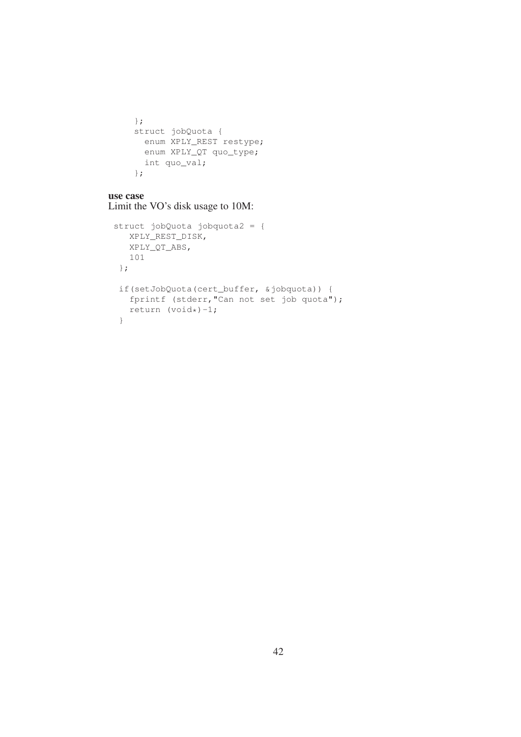```
};
struct jobQuota {
 enum XPLY_REST restype;
 enum XPLY_QT quo_type;
 int quo_val;
};
```
#### use case Limit the VO's disk usage to 10M:

```
struct jobQuota jobquota2 = {
  XPLY_REST_DISK,
  XPLY_QT_ABS,
  101
};
 if(setJobQuota(cert_buffer, &jobquota)) {
  fprintf (stderr,"Can not set job quota");
  return (void*)-1;}
```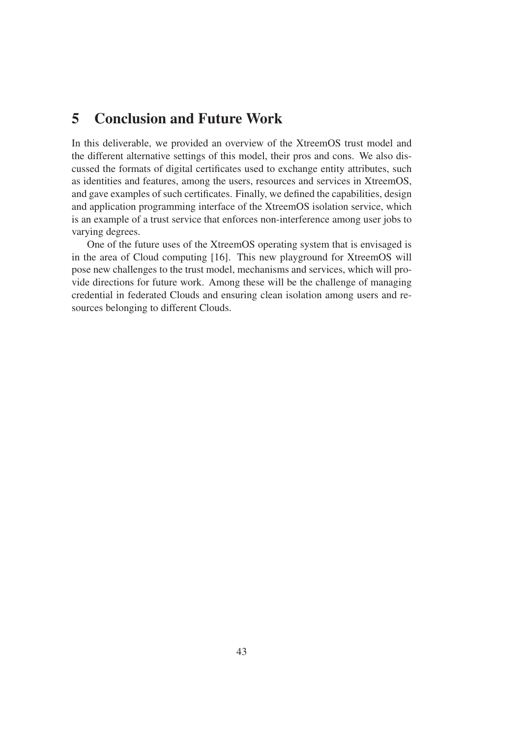# 5 Conclusion and Future Work

In this deliverable, we provided an overview of the XtreemOS trust model and the different alternative settings of this model, their pros and cons. We also discussed the formats of digital certificates used to exchange entity attributes, such as identities and features, among the users, resources and services in XtreemOS, and gave examples of such certificates. Finally, we defined the capabilities, design and application programming interface of the XtreemOS isolation service, which is an example of a trust service that enforces non-interference among user jobs to varying degrees.

One of the future uses of the XtreemOS operating system that is envisaged is in the area of Cloud computing [16]. This new playground for XtreemOS will pose new challenges to the trust model, mechanisms and services, which will provide directions for future work. Among these will be the challenge of managing credential in federated Clouds and ensuring clean isolation among users and resources belonging to different Clouds.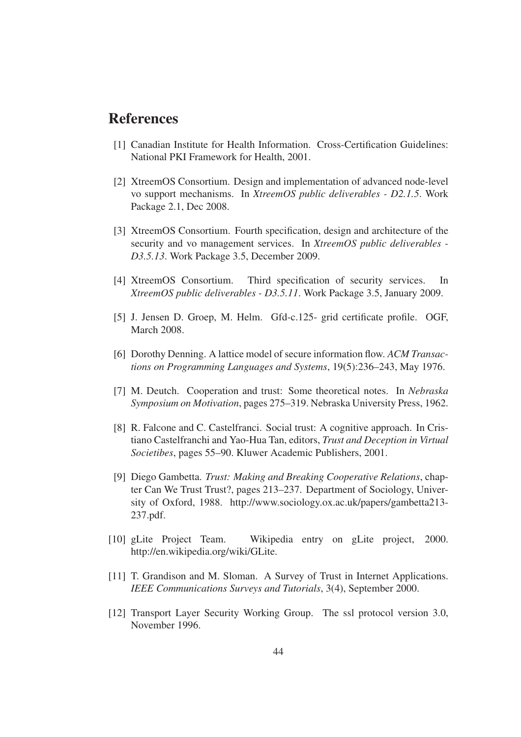# References

- [1] Canadian Institute for Health Information. Cross-Certification Guidelines: National PKI Framework for Health, 2001.
- [2] XtreemOS Consortium. Design and implementation of advanced node-level vo support mechanisms. In *XtreemOS public deliverables - D2.1.5*. Work Package 2.1, Dec 2008.
- [3] XtreemOS Consortium. Fourth specification, design and architecture of the security and vo management services. In *XtreemOS public deliverables - D3.5.13*. Work Package 3.5, December 2009.
- [4] XtreemOS Consortium. Third specification of security services. In *XtreemOS public deliverables - D3.5.11*. Work Package 3.5, January 2009.
- [5] J. Jensen D. Groep, M. Helm. Gfd-c.125- grid certificate profile. OGF, March 2008.
- [6] Dorothy Denning. A lattice model of secure information flow. *ACM Transactions on Programming Languages and Systems*, 19(5):236–243, May 1976.
- [7] M. Deutch. Cooperation and trust: Some theoretical notes. In *Nebraska Symposium on Motivation*, pages 275–319. Nebraska University Press, 1962.
- [8] R. Falcone and C. Castelfranci. Social trust: A cognitive approach. In Cristiano Castelfranchi and Yao-Hua Tan, editors, *Trust and Deception in Virtual Societibes*, pages 55–90. Kluwer Academic Publishers, 2001.
- [9] Diego Gambetta. *Trust: Making and Breaking Cooperative Relations*, chapter Can We Trust Trust?, pages 213–237. Department of Sociology, University of Oxford, 1988. http://www.sociology.ox.ac.uk/papers/gambetta213- 237.pdf.
- [10] gLite Project Team. Wikipedia entry on gLite project, 2000. http://en.wikipedia.org/wiki/GLite.
- [11] T. Grandison and M. Sloman. A Survey of Trust in Internet Applications. *IEEE Communications Surveys and Tutorials*, 3(4), September 2000.
- [12] Transport Layer Security Working Group. The ssl protocol version 3.0, November 1996.